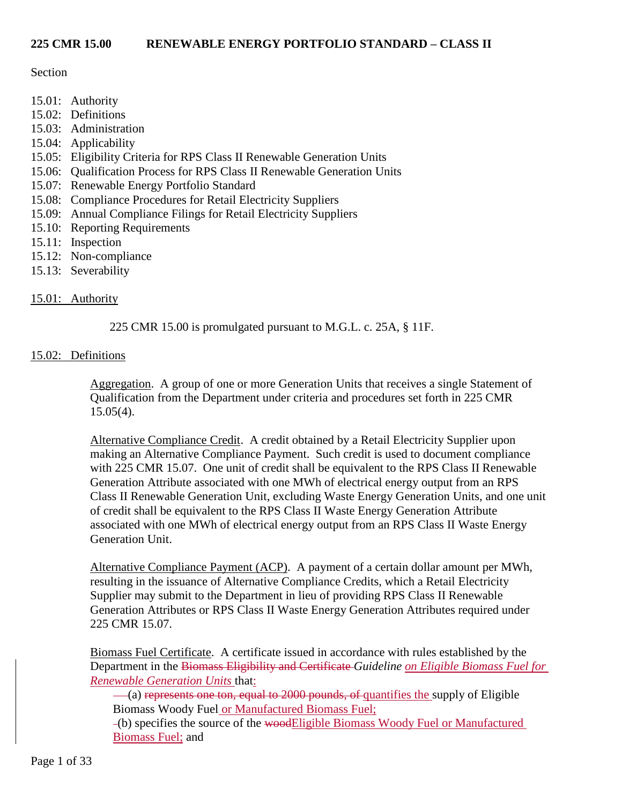#### Section

- 15.01: Authority
- 15.02: Definitions
- 15.03: Administration
- 15.04: Applicability
- 15.05: Eligibility Criteria for RPS Class II Renewable Generation Units
- 15.06: Qualification Process for RPS Class II Renewable Generation Units
- 15.07: Renewable Energy Portfolio Standard
- 15.08: Compliance Procedures for Retail Electricity Suppliers
- 15.09: Annual Compliance Filings for Retail Electricity Suppliers
- 15.10: Reporting Requirements
- 15.11: Inspection
- 15.12: Non-compliance
- 15.13: Severability

# 15.01: Authority

225 CMR 15.00 is promulgated pursuant to M.G.L. c. 25A, § 11F.

# 15.02: Definitions

Aggregation. A group of one or more Generation Units that receives a single Statement of Qualification from the Department under criteria and procedures set forth in 225 CMR  $15.05(4)$ .

Alternative Compliance Credit. A credit obtained by a Retail Electricity Supplier upon making an Alternative Compliance Payment. Such credit is used to document compliance with 225 CMR 15.07. One unit of credit shall be equivalent to the RPS Class II Renewable Generation Attribute associated with one MWh of electrical energy output from an RPS Class II Renewable Generation Unit, excluding Waste Energy Generation Units, and one unit of credit shall be equivalent to the RPS Class II Waste Energy Generation Attribute associated with one MWh of electrical energy output from an RPS Class II Waste Energy Generation Unit.

Alternative Compliance Payment (ACP). A payment of a certain dollar amount per MWh, resulting in the issuance of Alternative Compliance Credits, which a Retail Electricity Supplier may submit to the Department in lieu of providing RPS Class II Renewable Generation Attributes or RPS Class II Waste Energy Generation Attributes required under 225 CMR 15.07.

Biomass Fuel Certificate. A certificate issued in accordance with rules established by the Department in the Biomass Eligibility and Certificate *Guideline on Eligible Biomass Fuel for Renewable Generation Units* that:

(a) represents one ton, equal to 2000 pounds, of quantifies the supply of Eligible Biomass Woody Fuel or Manufactured Biomass Fuel;

(b) specifies the source of the woodEligible Biomass Woody Fuel or Manufactured Biomass Fuel; and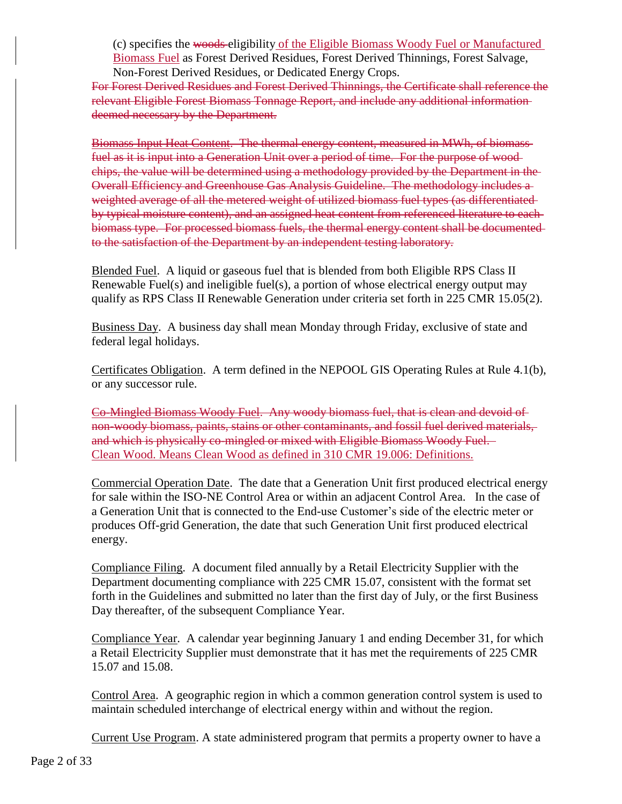(c) specifies the woods eligibility of the Eligible Biomass Woody Fuel or Manufactured Biomass Fuel as Forest Derived Residues, Forest Derived Thinnings, Forest Salvage, Non-Forest Derived Residues, or Dedicated Energy Crops.

For Forest Derived Residues and Forest Derived Thinnings, the Certificate shall reference the relevant Eligible Forest Biomass Tonnage Report, and include any additional information deemed necessary by the Department.

Biomass Input Heat Content. The thermal energy content, measured in MWh, of biomass fuel as it is input into a Generation Unit over a period of time. For the purpose of wood chips, the value will be determined using a methodology provided by the Department in the Overall Efficiency and Greenhouse Gas Analysis Guideline. The methodology includes a weighted average of all the metered weight of utilized biomass fuel types (as differentiated by typical moisture content), and an assigned heat content from referenced literature to each biomass type. For processed biomass fuels, the thermal energy content shall be documented to the satisfaction of the Department by an independent testing laboratory.

Blended Fuel. A liquid or gaseous fuel that is blended from both Eligible RPS Class II Renewable Fuel(s) and ineligible fuel(s), a portion of whose electrical energy output may qualify as RPS Class II Renewable Generation under criteria set forth in 225 CMR 15.05(2).

Business Day. A business day shall mean Monday through Friday, exclusive of state and federal legal holidays.

Certificates Obligation. A term defined in the NEPOOL GIS Operating Rules at Rule 4.1(b), or any successor rule.

Co-Mingled Biomass Woody Fuel. Any woody biomass fuel, that is clean and devoid of non-woody biomass, paints, stains or other contaminants, and fossil fuel derived materials, and which is physically co-mingled or mixed with Eligible Biomass Woody Fuel. Clean Wood. Means Clean Wood as defined in 310 CMR 19.006: Definitions.

Commercial Operation Date. The date that a Generation Unit first produced electrical energy for sale within the ISO-NE Control Area or within an adjacent Control Area. In the case of a Generation Unit that is connected to the End-use Customer's side of the electric meter or produces Off-grid Generation, the date that such Generation Unit first produced electrical energy.

Compliance Filing. A document filed annually by a Retail Electricity Supplier with the Department documenting compliance with 225 CMR 15.07, consistent with the format set forth in the Guidelines and submitted no later than the first day of July, or the first Business Day thereafter, of the subsequent Compliance Year.

Compliance Year. A calendar year beginning January 1 and ending December 31, for which a Retail Electricity Supplier must demonstrate that it has met the requirements of 225 CMR 15.07 and 15.08.

Control Area. A geographic region in which a common generation control system is used to maintain scheduled interchange of electrical energy within and without the region.

Current Use Program. A state administered program that permits a property owner to have a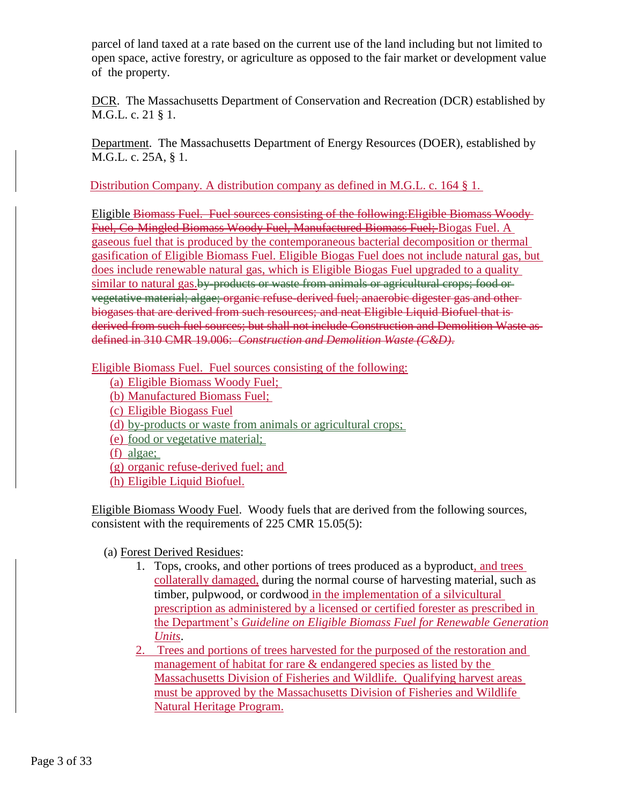parcel of land taxed at a rate based on the current use of the land including but not limited to open space, active forestry, or agriculture as opposed to the fair market or development value of the property.

DCR. The Massachusetts Department of Conservation and Recreation (DCR) established by M.G.L. c. 21 § 1.

Department. The Massachusetts Department of Energy Resources (DOER), established by M.G.L. c. 25A, § 1.

Distribution Company. A distribution company as defined in M.G.L. c. 164 § 1.

Eligible Biomass Fuel. Fuel sources consisting of the following:Eligible Biomass Woody Fuel, Co-Mingled Biomass Woody Fuel, Manufactured Biomass Fuel; Biogas Fuel. A gaseous fuel that is produced by the contemporaneous bacterial decomposition or thermal gasification of Eligible Biomass Fuel. Eligible Biogas Fuel does not include natural gas, but does include renewable natural gas, which is Eligible Biogas Fuel upgraded to a quality similar to natural gas.by-products or waste from animals or agricultural crops; food or vegetative material; algae; organic refuse-derived fuel; anaerobic digester gas and other biogases that are derived from such resources; and neat Eligible Liquid Biofuel that is derived from such fuel sources; but shall not include Construction and Demolition Waste as defined in 310 CMR 19.006: *Construction and Demolition Waste (C&D)*.

Eligible Biomass Fuel. Fuel sources consisting of the following:

- (a) Eligible Biomass Woody Fuel;
- (b) Manufactured Biomass Fuel;
- (c) Eligible Biogass Fuel
- (d) by-products or waste from animals or agricultural crops;
- (e) food or vegetative material;
- (f) algae;
- (g) organic refuse-derived fuel; and
- (h) Eligible Liquid Biofuel.

Eligible Biomass Woody Fuel. Woody fuels that are derived from the following sources, consistent with the requirements of 225 CMR 15.05(5):

(a) Forest Derived Residues:

- 1. Tops, crooks, and other portions of trees produced as a byproduct, and trees collaterally damaged, during the normal course of harvesting material, such as timber, pulpwood, or cordwood in the implementation of a silvicultural prescription as administered by a licensed or certified forester as prescribed in the Department's *Guideline on Eligible Biomass Fuel for Renewable Generation Units*.
- 2. Trees and portions of trees harvested for the purposed of the restoration and management of habitat for rare & endangered species as listed by the Massachusetts Division of Fisheries and Wildlife. Qualifying harvest areas must be approved by the Massachusetts Division of Fisheries and Wildlife Natural Heritage Program.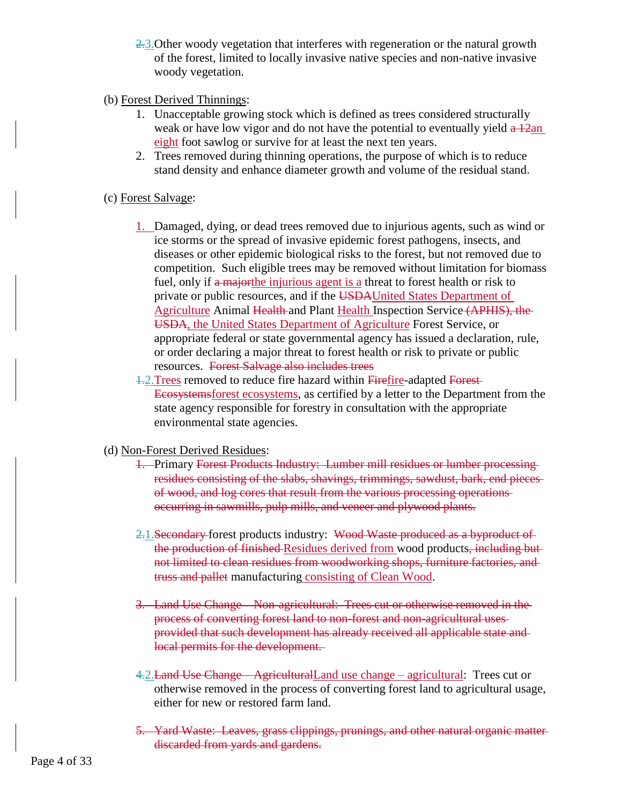- 2.3. Other woody vegetation that interferes with regeneration or the natural growth of the forest, limited to locally invasive native species and non-native invasive woody vegetation.
- (b) Forest Derived Thinnings:
	- 1. Unacceptable growing stock which is defined as trees considered structurally weak or have low vigor and do not have the potential to eventually yield  $a\overline{12}$ an eight foot sawlog or survive for at least the next ten years.
	- 2. Trees removed during thinning operations, the purpose of which is to reduce stand density and enhance diameter growth and volume of the residual stand.

#### (c) Forest Salvage:

- 1. Damaged, dying, or dead trees removed due to injurious agents, such as wind or ice storms or the spread of invasive epidemic forest pathogens, insects, and diseases or other epidemic biological risks to the forest, but not removed due to competition. Such eligible trees may be removed without limitation for biomass fuel, only if a majorthe injurious agent is a threat to forest health or risk to private or public resources, and if the USDAUnited States Department of Agriculture Animal Health and Plant Health Inspection Service (APHIS), the USDA, the United States Department of Agriculture Forest Service, or appropriate federal or state governmental agency has issued a declaration, rule, or order declaring a major threat to forest health or risk to private or public resources. Forest Salvage also includes trees
- 1.2.Trees removed to reduce fire hazard within Firefire-adapted Forest Ecosystemsforest ecosystems, as certified by a letter to the Department from the state agency responsible for forestry in consultation with the appropriate environmental state agencies.
- (d) Non-Forest Derived Residues:
	- 1. Primary Forest Products Industry: Lumber mill residues or lumber processing residues consisting of the slabs, shavings, trimmings, sawdust, bark, end pieces of wood, and log cores that result from the various processing operations occurring in sawmills, pulp mills, and veneer and plywood plants.
	- 2.1.Secondary forest products industry: Wood Waste produced as a byproduct of the production of finished Residues derived from wood products, including but not limited to clean residues from woodworking shops, furniture factories, and truss and pallet manufacturing consisting of Clean Wood.
	- 3. Land Use Change Non-agricultural: Trees cut or otherwise removed in the process of converting forest land to non-forest and non-agricultural uses provided that such development has already received all applicable state and local permits for the development.
	- 4.2.Land Use Change AgriculturalLand use change agricultural: Trees cut or otherwise removed in the process of converting forest land to agricultural usage, either for new or restored farm land.
	- 5. Yard Waste: Leaves, grass clippings, prunings, and other natural organic matter discarded from yards and gardens.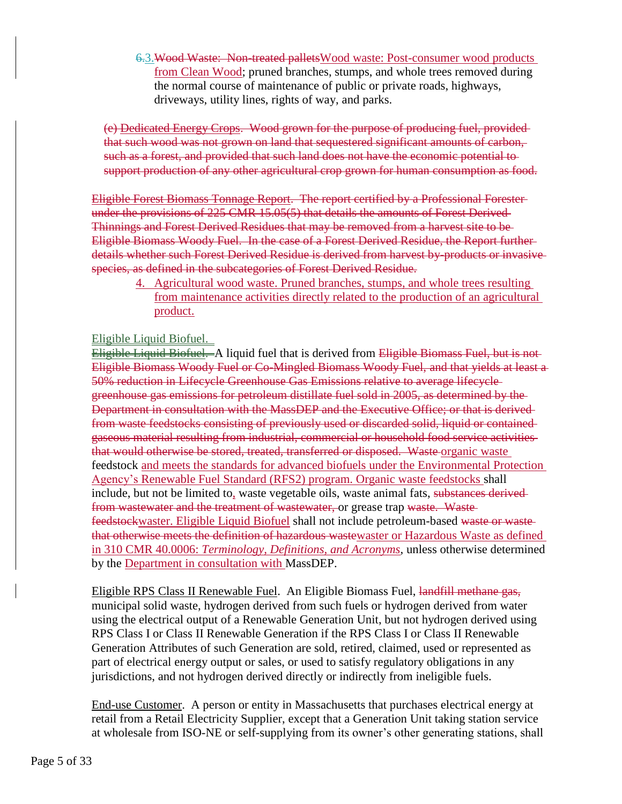6.3.Wood Waste: Non-treated palletsWood waste: Post-consumer wood products from Clean Wood; pruned branches, stumps, and whole trees removed during the normal course of maintenance of public or private roads, highways, driveways, utility lines, rights of way, and parks.

(e) Dedicated Energy Crops. Wood grown for the purpose of producing fuel, provided that such wood was not grown on land that sequestered significant amounts of carbon, such as a forest, and provided that such land does not have the economic potential to support production of any other agricultural crop grown for human consumption as food.

Eligible Forest Biomass Tonnage Report. The report certified by a Professional Forester under the provisions of 225 CMR 15.05(5) that details the amounts of Forest Derived Thinnings and Forest Derived Residues that may be removed from a harvest site to be Eligible Biomass Woody Fuel. In the case of a Forest Derived Residue, the Report further details whether such Forest Derived Residue is derived from harvest by-products or invasive species, as defined in the subcategories of Forest Derived Residue.

4. Agricultural wood waste. Pruned branches, stumps, and whole trees resulting from maintenance activities directly related to the production of an agricultural product.

#### Eligible Liquid Biofuel.

Eligible Liquid Biofuel. A liquid fuel that is derived from Eligible Biomass Fuel, but is not Eligible Biomass Woody Fuel or Co-Mingled Biomass Woody Fuel, and that yields at least a 50% reduction in Lifecycle Greenhouse Gas Emissions relative to average lifecycle greenhouse gas emissions for petroleum distillate fuel sold in 2005, as determined by the Department in consultation with the MassDEP and the Executive Office; or that is derived from waste feedstocks consisting of previously used or discarded solid, liquid or contained gaseous material resulting from industrial, commercial or household food service activities that would otherwise be stored, treated, transferred or disposed. Waste organic waste feedstock and meets the standards for advanced biofuels under the Environmental Protection Agency's Renewable Fuel Standard (RFS2) program. Organic waste feedstocks shall include, but not be limited to, waste vegetable oils, waste animal fats, substances derived from wastewater and the treatment of wastewater, or grease trap waste. Wastefeedstockwaster. Eligible Liquid Biofuel shall not include petroleum-based waste or waste that otherwise meets the definition of hazardous wastewaster or Hazardous Waste as defined in 310 CMR 40.0006: *Terminology, Definitions, and Acronyms*, unless otherwise determined by the Department in consultation with MassDEP.

Eligible RPS Class II Renewable Fuel. An Eligible Biomass Fuel, landfill methane gas, municipal solid waste, hydrogen derived from such fuels or hydrogen derived from water using the electrical output of a Renewable Generation Unit, but not hydrogen derived using RPS Class I or Class II Renewable Generation if the RPS Class I or Class II Renewable Generation Attributes of such Generation are sold, retired, claimed, used or represented as part of electrical energy output or sales, or used to satisfy regulatory obligations in any jurisdictions, and not hydrogen derived directly or indirectly from ineligible fuels.

End-use Customer. A person or entity in Massachusetts that purchases electrical energy at retail from a Retail Electricity Supplier, except that a Generation Unit taking station service at wholesale from ISO-NE or self-supplying from its owner's other generating stations, shall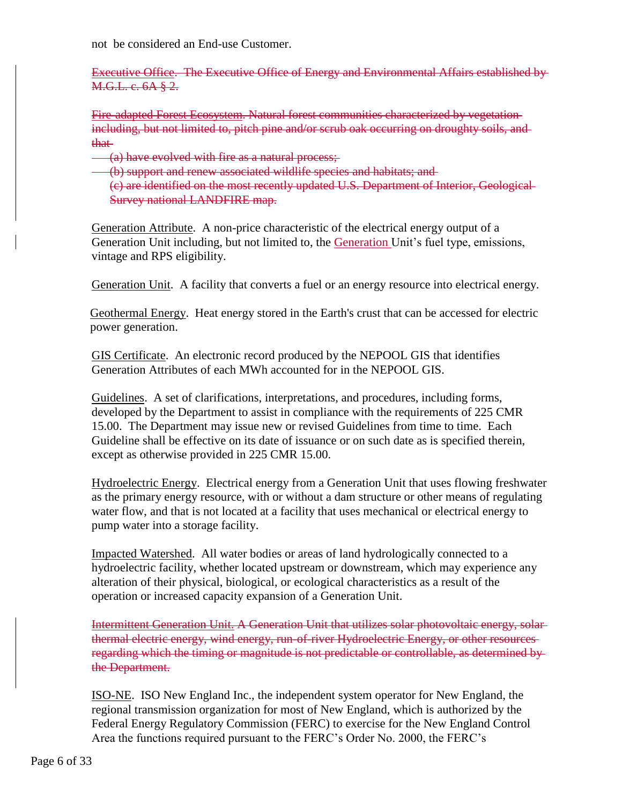not be considered an End-use Customer.

Executive Office. The Executive Office of Energy and Environmental Affairs established by M.G.L. c. 6A § 2.

Fire-adapted Forest Ecosystem. Natural forest communities characterized by vegetation including, but not limited to, pitch pine and/or scrub oak occurring on droughty soils, and that

- (a) have evolved with fire as a natural process;
- (b) support and renew associated wildlife species and habitats; and

(c) are identified on the most recently updated U.S. Department of Interior, Geological Survey national LANDFIRE map.

Generation Attribute. A non-price characteristic of the electrical energy output of a Generation Unit including, but not limited to, the Generation Unit's fuel type, emissions, vintage and RPS eligibility.

Generation Unit. A facility that converts a fuel or an energy resource into electrical energy.

Geothermal Energy. Heat energy stored in the Earth's crust that can be accessed for electric power generation.

GIS Certificate. An electronic record produced by the NEPOOL GIS that identifies Generation Attributes of each MWh accounted for in the NEPOOL GIS.

Guidelines. A set of clarifications, interpretations, and procedures, including forms, developed by the Department to assist in compliance with the requirements of 225 CMR 15.00. The Department may issue new or revised Guidelines from time to time. Each Guideline shall be effective on its date of issuance or on such date as is specified therein, except as otherwise provided in 225 CMR 15.00.

Hydroelectric Energy. Electrical energy from a Generation Unit that uses flowing freshwater as the primary energy resource, with or without a dam structure or other means of regulating water flow, and that is not located at a facility that uses mechanical or electrical energy to pump water into a storage facility.

Impacted Watershed. All water bodies or areas of land hydrologically connected to a hydroelectric facility, whether located upstream or downstream, which may experience any alteration of their physical, biological, or ecological characteristics as a result of the operation or increased capacity expansion of a Generation Unit.

Intermittent Generation Unit. A Generation Unit that utilizes solar photovoltaic energy, solar thermal electric energy, wind energy, run-of-river Hydroelectric Energy, or other resources regarding which the timing or magnitude is not predictable or controllable, as determined by the Department.

ISO-NE. ISO New England Inc., the independent system operator for New England, the regional transmission organization for most of New England, which is authorized by the Federal Energy Regulatory Commission (FERC) to exercise for the New England Control Area the functions required pursuant to the FERC's Order No. 2000, the FERC's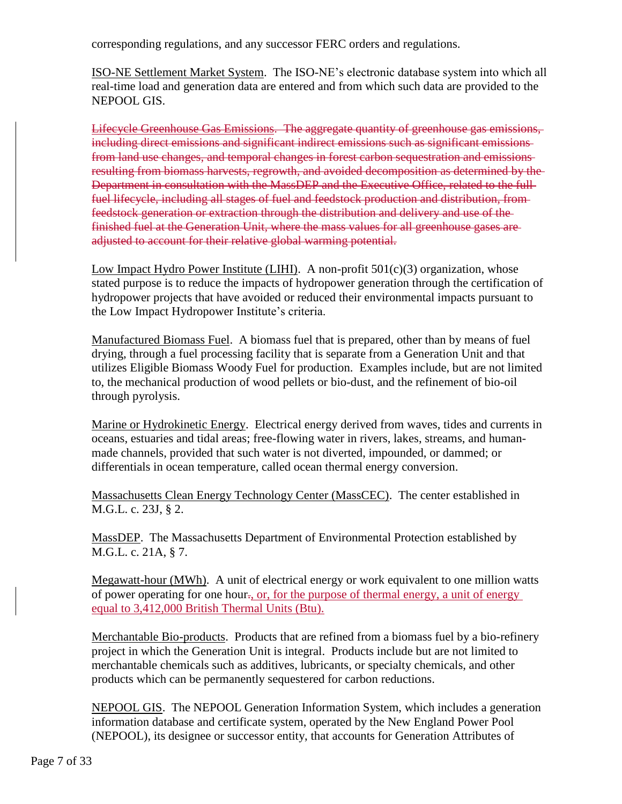corresponding regulations, and any successor FERC orders and regulations.

ISO-NE Settlement Market System. The ISO-NE's electronic database system into which all real-time load and generation data are entered and from which such data are provided to the NEPOOL GIS.

Lifecycle Greenhouse Gas Emissions. The aggregate quantity of greenhouse gas emissions, including direct emissions and significant indirect emissions such as significant emissions from land use changes, and temporal changes in forest carbon sequestration and emissions resulting from biomass harvests, regrowth, and avoided decomposition as determined by the Department in consultation with the MassDEP and the Executive Office, related to the full fuel lifecycle, including all stages of fuel and feedstock production and distribution, from feedstock generation or extraction through the distribution and delivery and use of the finished fuel at the Generation Unit, where the mass values for all greenhouse gases are adjusted to account for their relative global warming potential.

Low Impact Hydro Power Institute (LIHI). A non-profit 501(c)(3) organization, whose stated purpose is to reduce the impacts of hydropower generation through the certification of hydropower projects that have avoided or reduced their environmental impacts pursuant to the Low Impact Hydropower Institute's criteria.

Manufactured Biomass Fuel. A biomass fuel that is prepared, other than by means of fuel drying, through a fuel processing facility that is separate from a Generation Unit and that utilizes Eligible Biomass Woody Fuel for production. Examples include, but are not limited to, the mechanical production of wood pellets or bio-dust, and the refinement of bio-oil through pyrolysis.

Marine or Hydrokinetic Energy. Electrical energy derived from waves, tides and currents in oceans, estuaries and tidal areas; free-flowing water in rivers, lakes, streams, and humanmade channels, provided that such water is not diverted, impounded, or dammed; or differentials in ocean temperature, called ocean thermal energy conversion.

Massachusetts Clean Energy Technology Center (MassCEC). The center established in M.G.L. c. 23J, § 2.

MassDEP. The Massachusetts Department of Environmental Protection established by M.G.L. c. 21A, § 7.

Megawatt-hour (MWh). A unit of electrical energy or work equivalent to one million watts of power operating for one hour., or, for the purpose of thermal energy, a unit of energy equal to 3,412,000 British Thermal Units (Btu).

Merchantable Bio-products. Products that are refined from a biomass fuel by a bio-refinery project in which the Generation Unit is integral. Products include but are not limited to merchantable chemicals such as additives, lubricants, or specialty chemicals, and other products which can be permanently sequestered for carbon reductions.

NEPOOL GIS. The NEPOOL Generation Information System, which includes a generation information database and certificate system, operated by the New England Power Pool (NEPOOL), its designee or successor entity, that accounts for Generation Attributes of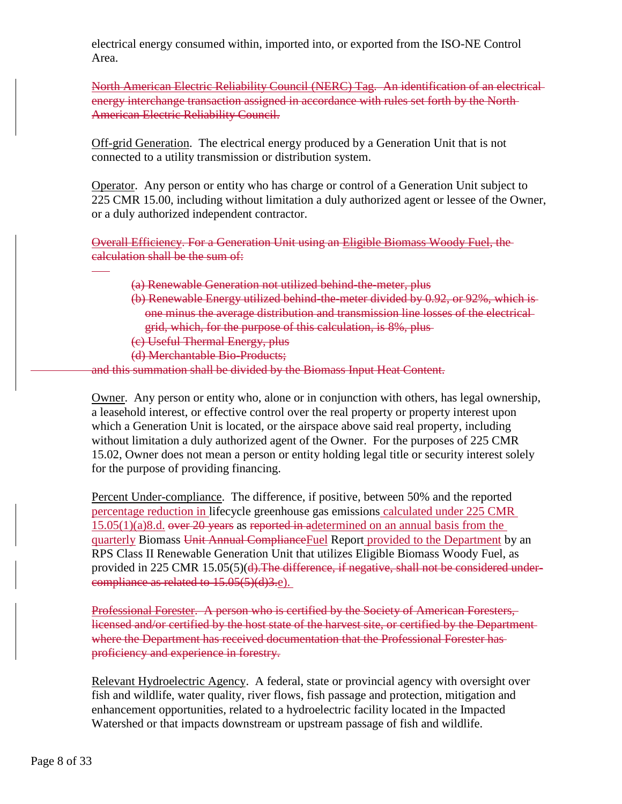electrical energy consumed within, imported into, or exported from the ISO-NE Control Area.

North American Electric Reliability Council (NERC) Tag. An identification of an electrical energy interchange transaction assigned in accordance with rules set forth by the North-American Electric Reliability Council.

Off-grid Generation. The electrical energy produced by a Generation Unit that is not connected to a utility transmission or distribution system.

Operator. Any person or entity who has charge or control of a Generation Unit subject to 225 CMR 15.00, including without limitation a duly authorized agent or lessee of the Owner, or a duly authorized independent contractor.

Overall Efficiency. For a Generation Unit using an Eligible Biomass Woody Fuel, the calculation shall be the sum of:

- (a) Renewable Generation not utilized behind-the-meter, plus
- (b) Renewable Energy utilized behind-the-meter divided by 0.92, or 92%, which is one minus the average distribution and transmission line losses of the electrical grid, which, for the purpose of this calculation, is 8%, plus
- (c) Useful Thermal Energy, plus
- (d) Merchantable Bio-Products;

and this summation shall be divided by the Biomass Input Heat Content.

Owner. Any person or entity who, alone or in conjunction with others, has legal ownership, a leasehold interest, or effective control over the real property or property interest upon which a Generation Unit is located, or the airspace above said real property, including without limitation a duly authorized agent of the Owner. For the purposes of 225 CMR 15.02, Owner does not mean a person or entity holding legal title or security interest solely for the purpose of providing financing.

Percent Under-compliance. The difference, if positive, between 50% and the reported percentage reduction in lifecycle greenhouse gas emissions calculated under 225 CMR  $15.05(1)(a)8.d.$  over 20 years as reported in adetermined on an annual basis from the quarterly Biomass Unit Annual ComplianceFuel Report provided to the Department by an RPS Class II Renewable Generation Unit that utilizes Eligible Biomass Woody Fuel, as provided in 225 CMR 15.05(5)(d). The difference, if negative, shall not be considered undercompliance as related to 15.05(5)(d)3.e).

Professional Forester. A person who is certified by the Society of American Foresters, licensed and/or certified by the host state of the harvest site, or certified by the Department where the Department has received documentation that the Professional Forester has proficiency and experience in forestry.

Relevant Hydroelectric Agency. A federal, state or provincial agency with oversight over fish and wildlife, water quality, river flows, fish passage and protection, mitigation and enhancement opportunities, related to a hydroelectric facility located in the Impacted Watershed or that impacts downstream or upstream passage of fish and wildlife.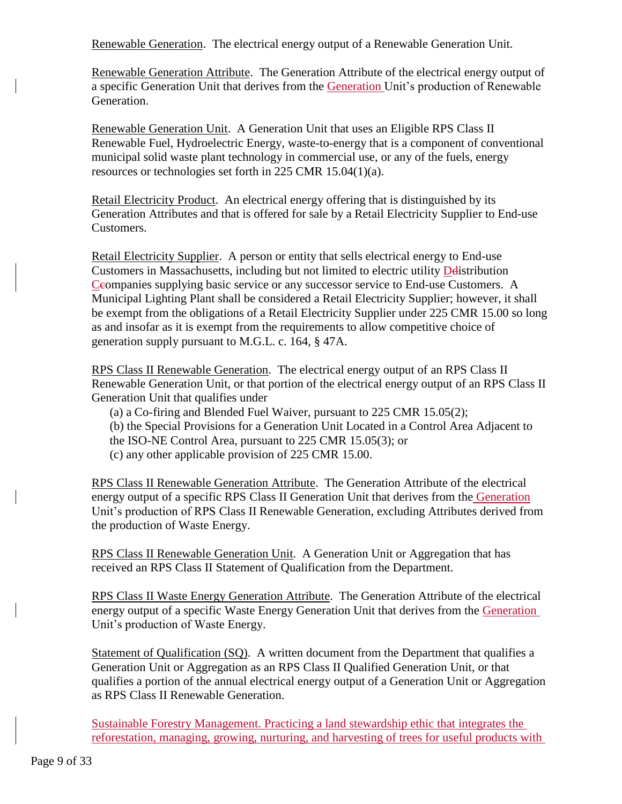Renewable Generation. The electrical energy output of a Renewable Generation Unit.

Renewable Generation Attribute. The Generation Attribute of the electrical energy output of a specific Generation Unit that derives from the Generation Unit's production of Renewable Generation.

Renewable Generation Unit. A Generation Unit that uses an Eligible RPS Class II Renewable Fuel, Hydroelectric Energy, waste-to-energy that is a component of conventional municipal solid waste plant technology in commercial use, or any of the fuels, energy resources or technologies set forth in 225 CMR 15.04(1)(a).

Retail Electricity Product. An electrical energy offering that is distinguished by its Generation Attributes and that is offered for sale by a Retail Electricity Supplier to End-use Customers.

Retail Electricity Supplier. A person or entity that sells electrical energy to End-use Customers in Massachusetts, including but not limited to electric utility Delistribution Ceompanies supplying basic service or any successor service to End-use Customers. A Municipal Lighting Plant shall be considered a Retail Electricity Supplier; however, it shall be exempt from the obligations of a Retail Electricity Supplier under 225 CMR 15.00 so long as and insofar as it is exempt from the requirements to allow competitive choice of generation supply pursuant to M.G.L. c. 164, § 47A.

RPS Class II Renewable Generation. The electrical energy output of an RPS Class II Renewable Generation Unit, or that portion of the electrical energy output of an RPS Class II Generation Unit that qualifies under

- (a) a Co-firing and Blended Fuel Waiver, pursuant to 225 CMR 15.05(2);
- (b) the Special Provisions for a Generation Unit Located in a Control Area Adjacent to
- the ISO-NE Control Area, pursuant to 225 CMR 15.05(3); or
- (c) any other applicable provision of 225 CMR 15.00.

RPS Class II Renewable Generation Attribute. The Generation Attribute of the electrical energy output of a specific RPS Class II Generation Unit that derives from the Generation Unit's production of RPS Class II Renewable Generation, excluding Attributes derived from the production of Waste Energy.

RPS Class II Renewable Generation Unit. A Generation Unit or Aggregation that has received an RPS Class II Statement of Qualification from the Department.

RPS Class II Waste Energy Generation Attribute. The Generation Attribute of the electrical energy output of a specific Waste Energy Generation Unit that derives from the Generation Unit's production of Waste Energy.

Statement of Qualification (SQ). A written document from the Department that qualifies a Generation Unit or Aggregation as an RPS Class II Qualified Generation Unit, or that qualifies a portion of the annual electrical energy output of a Generation Unit or Aggregation as RPS Class II Renewable Generation.

Sustainable Forestry Management. Practicing a land stewardship ethic that integrates the reforestation, managing, growing, nurturing, and harvesting of trees for useful products with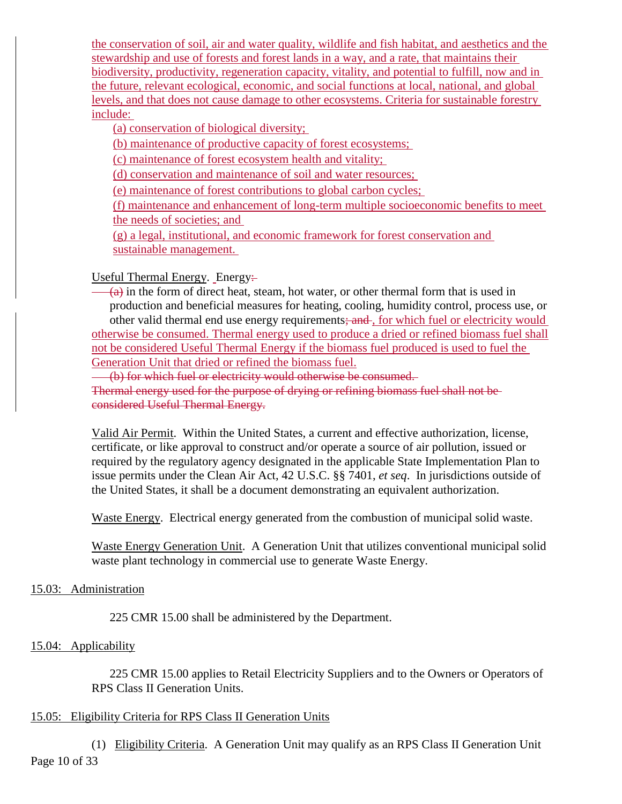the conservation of soil, air and water quality, wildlife and fish habitat, and aesthetics and the stewardship and use of forests and forest lands in a way, and a rate, that maintains their biodiversity, productivity, regeneration capacity, vitality, and potential to fulfill, now and in the future, relevant ecological, economic, and social functions at local, national, and global levels, and that does not cause damage to other ecosystems. Criteria for sustainable forestry include:

(a) conservation of biological diversity;

(b) maintenance of productive capacity of forest ecosystems;

(c) maintenance of forest ecosystem health and vitality;

(d) conservation and maintenance of soil and water resources;

(e) maintenance of forest contributions to global carbon cycles;

(f) maintenance and enhancement of long-term multiple socioeconomic benefits to meet the needs of societies; and

(g) a legal, institutional, and economic framework for forest conservation and sustainable management.

# Useful Thermal Energy. Energy:

 $(a)$  in the form of direct heat, steam, hot water, or other thermal form that is used in production and beneficial measures for heating, cooling, humidity control, process use, or other valid thermal end use energy requirements; and, for which fuel or electricity would otherwise be consumed. Thermal energy used to produce a dried or refined biomass fuel shall not be considered Useful Thermal Energy if the biomass fuel produced is used to fuel the Generation Unit that dried or refined the biomass fuel.

(b) for which fuel or electricity would otherwise be consumed.

Thermal energy used for the purpose of drying or refining biomass fuel shall not be considered Useful Thermal Energy.

Valid Air Permit. Within the United States, a current and effective authorization, license, certificate, or like approval to construct and/or operate a source of air pollution, issued or required by the regulatory agency designated in the applicable State Implementation Plan to issue permits under the Clean Air Act, 42 U.S.C. §§ 7401, *et seq*. In jurisdictions outside of the United States, it shall be a document demonstrating an equivalent authorization.

Waste Energy. Electrical energy generated from the combustion of municipal solid waste.

Waste Energy Generation Unit. A Generation Unit that utilizes conventional municipal solid waste plant technology in commercial use to generate Waste Energy.

#### 15.03: Administration

225 CMR 15.00 shall be administered by the Department.

# 15.04: Applicability

225 CMR 15.00 applies to Retail Electricity Suppliers and to the Owners or Operators of RPS Class II Generation Units.

# 15.05: Eligibility Criteria for RPS Class II Generation Units

Page 10 of 33 (1) Eligibility Criteria. A Generation Unit may qualify as an RPS Class II Generation Unit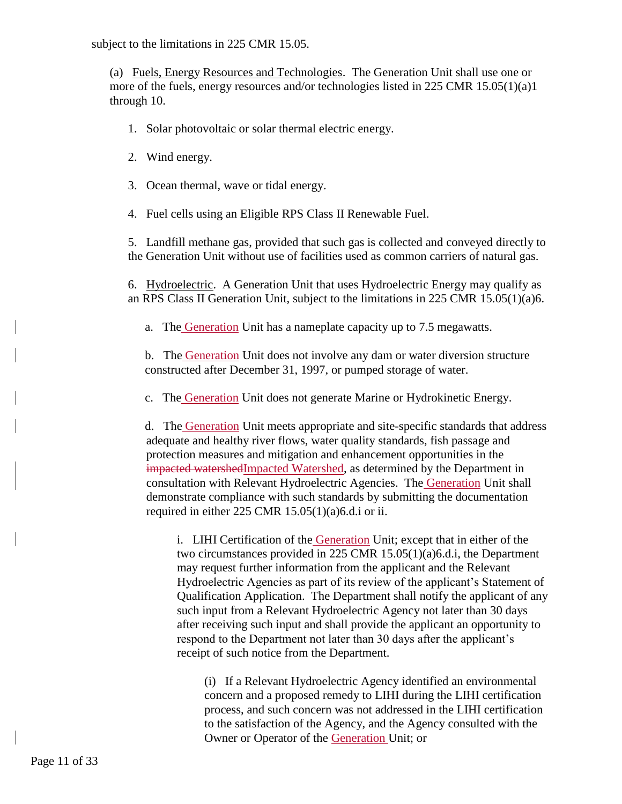subject to the limitations in 225 CMR 15.05.

(a) Fuels, Energy Resources and Technologies. The Generation Unit shall use one or more of the fuels, energy resources and/or technologies listed in 225 CMR 15.05(1)(a)1 through 10.

- 1. Solar photovoltaic or solar thermal electric energy.
- 2. Wind energy.
- 3. Ocean thermal, wave or tidal energy.

4. Fuel cells using an Eligible RPS Class II Renewable Fuel.

5. Landfill methane gas, provided that such gas is collected and conveyed directly to the Generation Unit without use of facilities used as common carriers of natural gas.

6. Hydroelectric. A Generation Unit that uses Hydroelectric Energy may qualify as an RPS Class II Generation Unit, subject to the limitations in 225 CMR 15.05(1)(a)6.

a. The Generation Unit has a nameplate capacity up to 7.5 megawatts.

b. The Generation Unit does not involve any dam or water diversion structure constructed after December 31, 1997, or pumped storage of water.

c. The Generation Unit does not generate Marine or Hydrokinetic Energy.

d. The Generation Unit meets appropriate and site-specific standards that address adequate and healthy river flows, water quality standards, fish passage and protection measures and mitigation and enhancement opportunities in the impacted watershedImpacted Watershed, as determined by the Department in consultation with Relevant Hydroelectric Agencies. The Generation Unit shall demonstrate compliance with such standards by submitting the documentation required in either 225 CMR 15.05(1)(a)6.d.i or ii.

i. LIHI Certification of the Generation Unit; except that in either of the two circumstances provided in 225 CMR 15.05(1)(a)6.d.i, the Department may request further information from the applicant and the Relevant Hydroelectric Agencies as part of its review of the applicant's Statement of Qualification Application. The Department shall notify the applicant of any such input from a Relevant Hydroelectric Agency not later than 30 days after receiving such input and shall provide the applicant an opportunity to respond to the Department not later than 30 days after the applicant's receipt of such notice from the Department.

(i) If a Relevant Hydroelectric Agency identified an environmental concern and a proposed remedy to LIHI during the LIHI certification process, and such concern was not addressed in the LIHI certification to the satisfaction of the Agency, and the Agency consulted with the Owner or Operator of the Generation Unit; or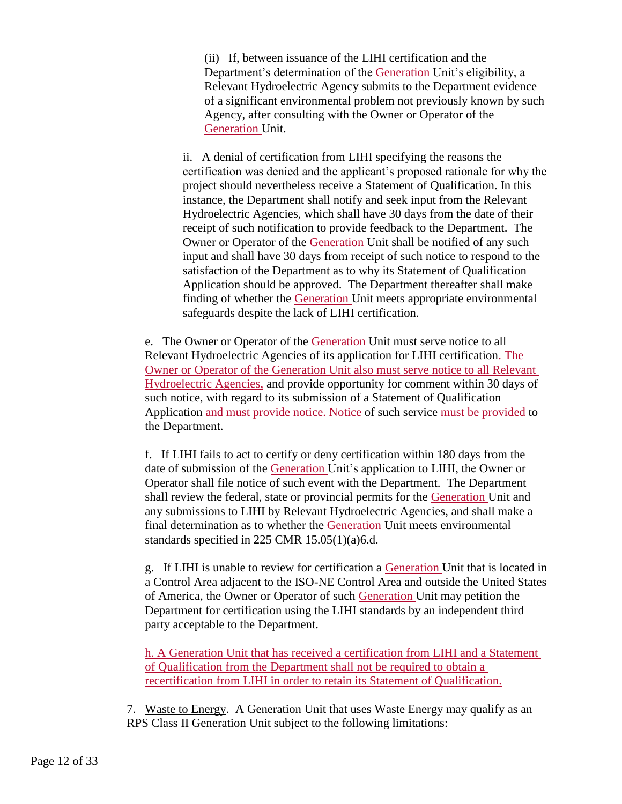(ii) If, between issuance of the LIHI certification and the Department's determination of the Generation Unit's eligibility, a Relevant Hydroelectric Agency submits to the Department evidence of a significant environmental problem not previously known by such Agency, after consulting with the Owner or Operator of the Generation Unit.

ii. A denial of certification from LIHI specifying the reasons the certification was denied and the applicant's proposed rationale for why the project should nevertheless receive a Statement of Qualification. In this instance, the Department shall notify and seek input from the Relevant Hydroelectric Agencies, which shall have 30 days from the date of their receipt of such notification to provide feedback to the Department. The Owner or Operator of the Generation Unit shall be notified of any such input and shall have 30 days from receipt of such notice to respond to the satisfaction of the Department as to why its Statement of Qualification Application should be approved. The Department thereafter shall make finding of whether the Generation Unit meets appropriate environmental safeguards despite the lack of LIHI certification.

e. The Owner or Operator of the Generation Unit must serve notice to all Relevant Hydroelectric Agencies of its application for LIHI certification. The Owner or Operator of the Generation Unit also must serve notice to all Relevant Hydroelectric Agencies, and provide opportunity for comment within 30 days of such notice, with regard to its submission of a Statement of Qualification Application and must provide notice. Notice of such service must be provided to the Department.

f. If LIHI fails to act to certify or deny certification within 180 days from the date of submission of the Generation Unit's application to LIHI, the Owner or Operator shall file notice of such event with the Department. The Department shall review the federal, state or provincial permits for the Generation Unit and any submissions to LIHI by Relevant Hydroelectric Agencies, and shall make a final determination as to whether the Generation Unit meets environmental standards specified in 225 CMR 15.05(1)(a)6.d.

g. If LIHI is unable to review for certification a Generation Unit that is located in a Control Area adjacent to the ISO-NE Control Area and outside the United States of America, the Owner or Operator of such Generation Unit may petition the Department for certification using the LIHI standards by an independent third party acceptable to the Department.

h. A Generation Unit that has received a certification from LIHI and a Statement of Qualification from the Department shall not be required to obtain a recertification from LIHI in order to retain its Statement of Qualification.

7. Waste to Energy. A Generation Unit that uses Waste Energy may qualify as an RPS Class II Generation Unit subject to the following limitations: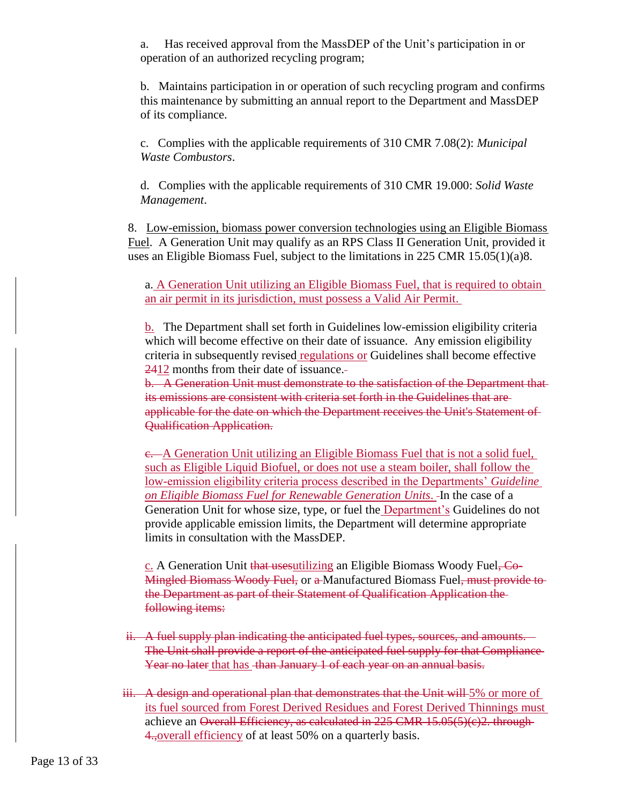a. Has received approval from the MassDEP of the Unit's participation in or operation of an authorized recycling program;

b. Maintains participation in or operation of such recycling program and confirms this maintenance by submitting an annual report to the Department and MassDEP of its compliance.

c. Complies with the applicable requirements of 310 CMR 7.08(2): *Municipal Waste Combustors*.

d. Complies with the applicable requirements of 310 CMR 19.000: *Solid Waste Management*.

8. Low-emission, biomass power conversion technologies using an Eligible Biomass Fuel. A Generation Unit may qualify as an RPS Class II Generation Unit, provided it uses an Eligible Biomass Fuel, subject to the limitations in 225 CMR 15.05(1)(a)8.

a. A Generation Unit utilizing an Eligible Biomass Fuel, that is required to obtain an air permit in its jurisdiction, must possess a Valid Air Permit.

b. The Department shall set forth in Guidelines low-emission eligibility criteria which will become effective on their date of issuance. Any emission eligibility criteria in subsequently revised regulations or Guidelines shall become effective 2412 months from their date of issuance.

b. A Generation Unit must demonstrate to the satisfaction of the Department that its emissions are consistent with criteria set forth in the Guidelines that are applicable for the date on which the Department receives the Unit's Statement of Qualification Application.

c. A Generation Unit utilizing an Eligible Biomass Fuel that is not a solid fuel, such as Eligible Liquid Biofuel, or does not use a steam boiler, shall follow the low-emission eligibility criteria process described in the Departments' *Guideline on Eligible Biomass Fuel for Renewable Generation Units*. In the case of a Generation Unit for whose size, type, or fuel the Department's Guidelines do not provide applicable emission limits, the Department will determine appropriate limits in consultation with the MassDEP.

c. A Generation Unit that usesutilizing an Eligible Biomass Woody Fuel, Co-Mingled Biomass Woody Fuel, or a Manufactured Biomass Fuel, must provide to the Department as part of their Statement of Qualification Application the following items:

- ii. A fuel supply plan indicating the anticipated fuel types, sources, and amounts. The Unit shall provide a report of the anticipated fuel supply for that Compliance Year no later that has than January 1 of each year on an annual basis.
- iii. A design and operational plan that demonstrates that the Unit will 5% or more of its fuel sourced from Forest Derived Residues and Forest Derived Thinnings must achieve an Overall Efficiency, as calculated in 225 CMR 15.05(5)(c)2. through-4., overall efficiency of at least 50% on a quarterly basis.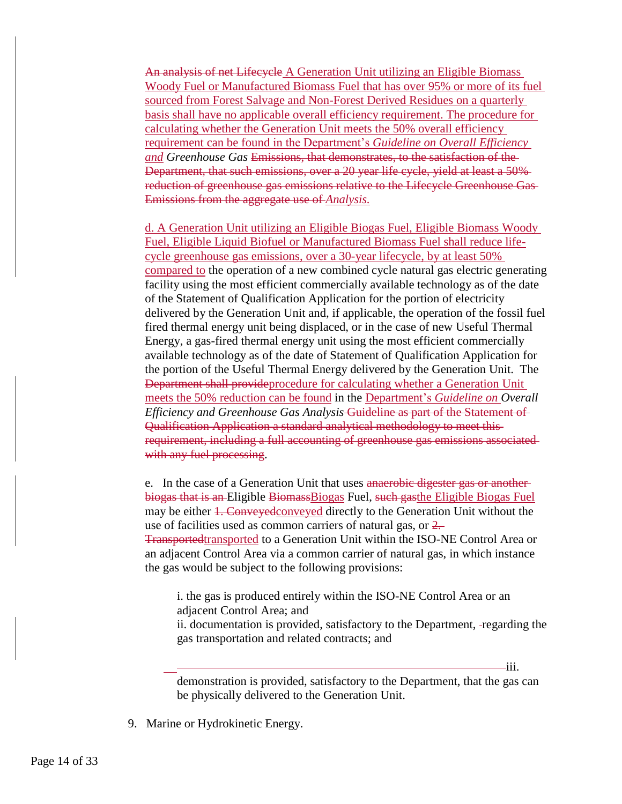An analysis of net Lifecycle A Generation Unit utilizing an Eligible Biomass Woody Fuel or Manufactured Biomass Fuel that has over 95% or more of its fuel sourced from Forest Salvage and Non-Forest Derived Residues on a quarterly basis shall have no applicable overall efficiency requirement. The procedure for calculating whether the Generation Unit meets the 50% overall efficiency requirement can be found in the Department's *Guideline on Overall Efficiency and Greenhouse Gas* Emissions, that demonstrates, to the satisfaction of the Department, that such emissions, over a 20 year life cycle, yield at least a 50% reduction of greenhouse gas emissions relative to the Lifecycle Greenhouse Gas Emissions from the aggregate use of *Analysis.*

d. A Generation Unit utilizing an Eligible Biogas Fuel, Eligible Biomass Woody Fuel, Eligible Liquid Biofuel or Manufactured Biomass Fuel shall reduce lifecycle greenhouse gas emissions, over a 30-year lifecycle, by at least 50% compared to the operation of a new combined cycle natural gas electric generating facility using the most efficient commercially available technology as of the date of the Statement of Qualification Application for the portion of electricity delivered by the Generation Unit and, if applicable, the operation of the fossil fuel fired thermal energy unit being displaced, or in the case of new Useful Thermal Energy, a gas-fired thermal energy unit using the most efficient commercially available technology as of the date of Statement of Qualification Application for the portion of the Useful Thermal Energy delivered by the Generation Unit. The Department shall provideprocedure for calculating whether a Generation Unit meets the 50% reduction can be found in the Department's *Guideline on Overall Efficiency and Greenhouse Gas Analysis* Guideline as part of the Statement of Qualification Application a standard analytical methodology to meet this requirement, including a full accounting of greenhouse gas emissions associated with any fuel processing.

e. In the case of a Generation Unit that uses anaerobic digester gas or another biogas that is an Eligible Biomass Biogas Fuel, such gas the Eligible Biogas Fuel may be either 1. Conveyed conveyed directly to the Generation Unit without the use of facilities used as common carriers of natural gas, or 2. Transportedtransported to a Generation Unit within the ISO-NE Control Area or an adjacent Control Area via a common carrier of natural gas, in which instance the gas would be subject to the following provisions:

i. the gas is produced entirely within the ISO-NE Control Area or an adjacent Control Area; and

ii. documentation is provided, satisfactory to the Department, regarding the gas transportation and related contracts; and

iii.

9. Marine or Hydrokinetic Energy.

demonstration is provided, satisfactory to the Department, that the gas can be physically delivered to the Generation Unit.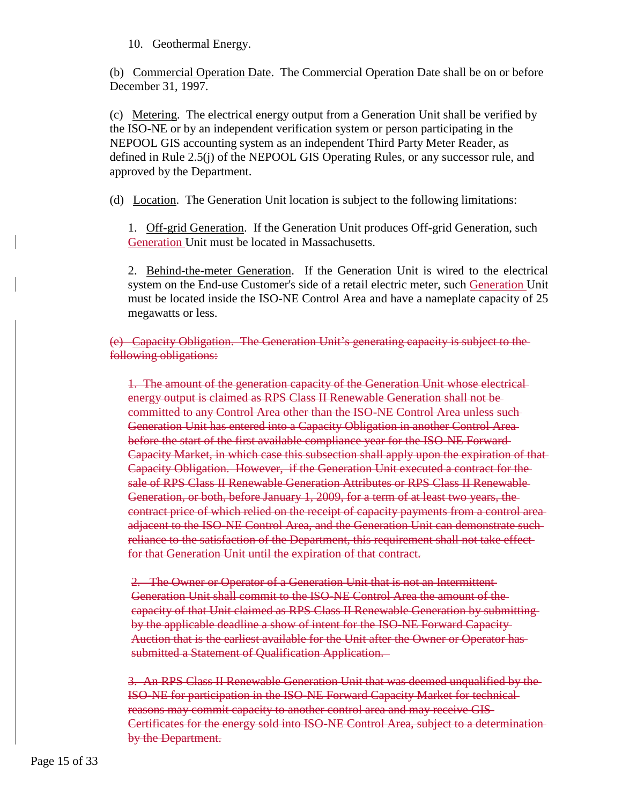10. Geothermal Energy.

(b) Commercial Operation Date. The Commercial Operation Date shall be on or before December 31, 1997.

(c) Metering. The electrical energy output from a Generation Unit shall be verified by the ISO-NE or by an independent verification system or person participating in the NEPOOL GIS accounting system as an independent Third Party Meter Reader, as defined in Rule 2.5(j) of the NEPOOL GIS Operating Rules, or any successor rule, and approved by the Department.

(d) Location. The Generation Unit location is subject to the following limitations:

1. Off-grid Generation. If the Generation Unit produces Off-grid Generation, such Generation Unit must be located in Massachusetts.

2. Behind-the-meter Generation. If the Generation Unit is wired to the electrical system on the End-use Customer's side of a retail electric meter, such Generation Unit must be located inside the ISO-NE Control Area and have a nameplate capacity of 25 megawatts or less.

(e) Capacity Obligation. The Generation Unit's generating capacity is subject to the following obligations:

1. The amount of the generation capacity of the Generation Unit whose electrical energy output is claimed as RPS Class II Renewable Generation shall not be committed to any Control Area other than the ISO-NE Control Area unless such Generation Unit has entered into a Capacity Obligation in another Control Area before the start of the first available compliance year for the ISO-NE Forward Capacity Market, in which case this subsection shall apply upon the expiration of that Capacity Obligation. However, if the Generation Unit executed a contract for the sale of RPS Class II Renewable Generation Attributes or RPS Class II Renewable Generation, or both, before January 1, 2009, for a term of at least two years, the contract price of which relied on the receipt of capacity payments from a control area adjacent to the ISO-NE Control Area, and the Generation Unit can demonstrate such reliance to the satisfaction of the Department, this requirement shall not take effect for that Generation Unit until the expiration of that contract.

2. The Owner or Operator of a Generation Unit that is not an Intermittent Generation Unit shall commit to the ISO-NE Control Area the amount of the capacity of that Unit claimed as RPS Class II Renewable Generation by submitting by the applicable deadline a show of intent for the ISO-NE Forward Capacity Auction that is the earliest available for the Unit after the Owner or Operator has submitted a Statement of Qualification Application.

3. An RPS Class II Renewable Generation Unit that was deemed unqualified by the ISO-NE for participation in the ISO-NE Forward Capacity Market for technical reasons may commit capacity to another control area and may receive GIS Certificates for the energy sold into ISO-NE Control Area, subject to a determination by the Department.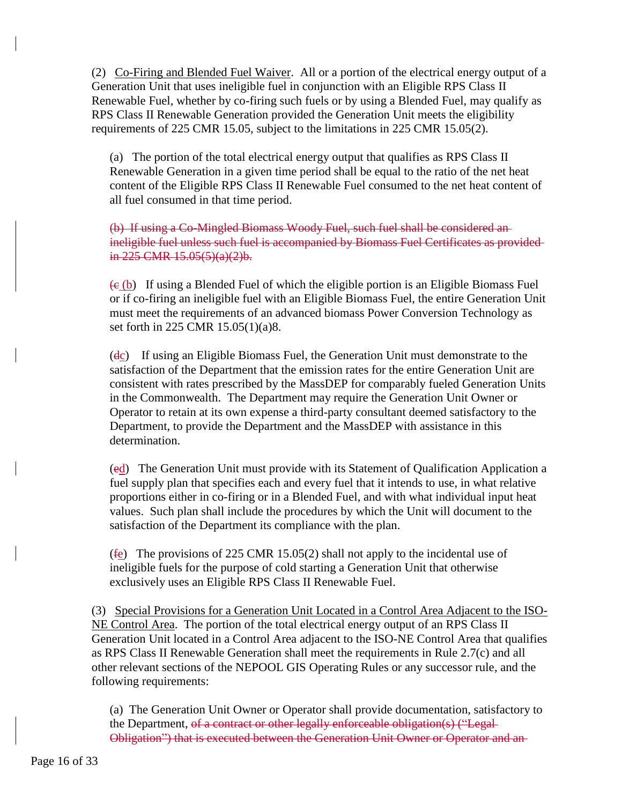(2) Co-Firing and Blended Fuel Waiver. All or a portion of the electrical energy output of a Generation Unit that uses ineligible fuel in conjunction with an Eligible RPS Class II Renewable Fuel, whether by co-firing such fuels or by using a Blended Fuel, may qualify as RPS Class II Renewable Generation provided the Generation Unit meets the eligibility requirements of 225 CMR 15.05, subject to the limitations in 225 CMR 15.05(2).

(a) The portion of the total electrical energy output that qualifies as RPS Class II Renewable Generation in a given time period shall be equal to the ratio of the net heat content of the Eligible RPS Class II Renewable Fuel consumed to the net heat content of all fuel consumed in that time period.

(b) If using a Co-Mingled Biomass Woody Fuel, such fuel shall be considered an ineligible fuel unless such fuel is accompanied by Biomass Fuel Certificates as provided in 225 CMR 15.05(5)(a)(2)b.

 $\left( \theta$  (b) If using a Blended Fuel of which the eligible portion is an Eligible Biomass Fuel or if co-firing an ineligible fuel with an Eligible Biomass Fuel, the entire Generation Unit must meet the requirements of an advanced biomass Power Conversion Technology as set forth in 225 CMR 15.05(1)(a)8.

 $(d<sub>c</sub>)$  If using an Eligible Biomass Fuel, the Generation Unit must demonstrate to the satisfaction of the Department that the emission rates for the entire Generation Unit are consistent with rates prescribed by the MassDEP for comparably fueled Generation Units in the Commonwealth. The Department may require the Generation Unit Owner or Operator to retain at its own expense a third-party consultant deemed satisfactory to the Department, to provide the Department and the MassDEP with assistance in this determination.

(ed) The Generation Unit must provide with its Statement of Qualification Application a fuel supply plan that specifies each and every fuel that it intends to use, in what relative proportions either in co-firing or in a Blended Fuel, and with what individual input heat values. Such plan shall include the procedures by which the Unit will document to the satisfaction of the Department its compliance with the plan.

( $f_{\text{E}}$ ) The provisions of 225 CMR 15.05(2) shall not apply to the incidental use of ineligible fuels for the purpose of cold starting a Generation Unit that otherwise exclusively uses an Eligible RPS Class II Renewable Fuel.

(3) Special Provisions for a Generation Unit Located in a Control Area Adjacent to the ISO-NE Control Area. The portion of the total electrical energy output of an RPS Class II Generation Unit located in a Control Area adjacent to the ISO-NE Control Area that qualifies as RPS Class II Renewable Generation shall meet the requirements in Rule 2.7(c) and all other relevant sections of the NEPOOL GIS Operating Rules or any successor rule, and the following requirements:

(a) The Generation Unit Owner or Operator shall provide documentation, satisfactory to the Department, of a contract or other legally enforceable obligation(s) ("Legal-Obligation") that is executed between the Generation Unit Owner or Operator and an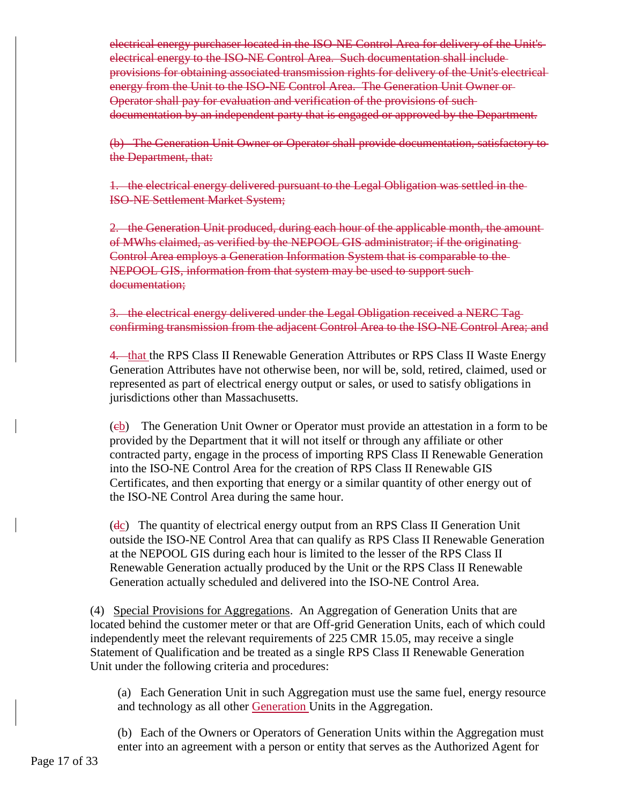electrical energy purchaser located in the ISO-NE Control Area for delivery of the Unit's electrical energy to the ISO-NE Control Area. Such documentation shall include provisions for obtaining associated transmission rights for delivery of the Unit's electrical energy from the Unit to the ISO-NE Control Area. The Generation Unit Owner or-Operator shall pay for evaluation and verification of the provisions of such documentation by an independent party that is engaged or approved by the Department.

(b) The Generation Unit Owner or Operator shall provide documentation, satisfactory to the Department, that:

1. the electrical energy delivered pursuant to the Legal Obligation was settled in the ISO-NE Settlement Market System;

2. the Generation Unit produced, during each hour of the applicable month, the amount of MWhs claimed, as verified by the NEPOOL GIS administrator; if the originating Control Area employs a Generation Information System that is comparable to the NEPOOL GIS, information from that system may be used to support such documentation;

3. the electrical energy delivered under the Legal Obligation received a NERC Tagconfirming transmission from the adjacent Control Area to the ISO-NE Control Area; and

4. that the RPS Class II Renewable Generation Attributes or RPS Class II Waste Energy Generation Attributes have not otherwise been, nor will be, sold, retired, claimed, used or represented as part of electrical energy output or sales, or used to satisfy obligations in jurisdictions other than Massachusetts.

(cb) The Generation Unit Owner or Operator must provide an attestation in a form to be provided by the Department that it will not itself or through any affiliate or other contracted party, engage in the process of importing RPS Class II Renewable Generation into the ISO-NE Control Area for the creation of RPS Class II Renewable GIS Certificates, and then exporting that energy or a similar quantity of other energy out of the ISO-NE Control Area during the same hour.

(dc) The quantity of electrical energy output from an RPS Class II Generation Unit outside the ISO-NE Control Area that can qualify as RPS Class II Renewable Generation at the NEPOOL GIS during each hour is limited to the lesser of the RPS Class II Renewable Generation actually produced by the Unit or the RPS Class II Renewable Generation actually scheduled and delivered into the ISO-NE Control Area.

(4) Special Provisions for Aggregations. An Aggregation of Generation Units that are located behind the customer meter or that are Off-grid Generation Units, each of which could independently meet the relevant requirements of 225 CMR 15.05, may receive a single Statement of Qualification and be treated as a single RPS Class II Renewable Generation Unit under the following criteria and procedures:

(a) Each Generation Unit in such Aggregation must use the same fuel, energy resource and technology as all other Generation Units in the Aggregation.

(b) Each of the Owners or Operators of Generation Units within the Aggregation must enter into an agreement with a person or entity that serves as the Authorized Agent for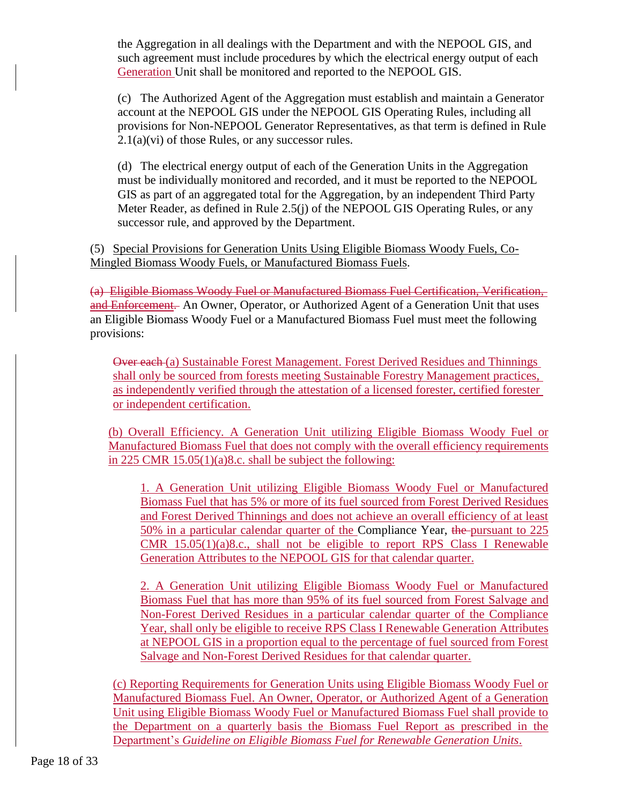the Aggregation in all dealings with the Department and with the NEPOOL GIS, and such agreement must include procedures by which the electrical energy output of each Generation Unit shall be monitored and reported to the NEPOOL GIS.

(c) The Authorized Agent of the Aggregation must establish and maintain a Generator account at the NEPOOL GIS under the NEPOOL GIS Operating Rules, including all provisions for Non-NEPOOL Generator Representatives, as that term is defined in Rule  $2.1(a)(vi)$  of those Rules, or any successor rules.

(d) The electrical energy output of each of the Generation Units in the Aggregation must be individually monitored and recorded, and it must be reported to the NEPOOL GIS as part of an aggregated total for the Aggregation, by an independent Third Party Meter Reader, as defined in Rule 2.5(j) of the NEPOOL GIS Operating Rules, or any successor rule, and approved by the Department.

(5) Special Provisions for Generation Units Using Eligible Biomass Woody Fuels, Co-Mingled Biomass Woody Fuels, or Manufactured Biomass Fuels.

(a) Eligible Biomass Woody Fuel or Manufactured Biomass Fuel Certification, Verification, and Enforcement. An Owner, Operator, or Authorized Agent of a Generation Unit that uses an Eligible Biomass Woody Fuel or a Manufactured Biomass Fuel must meet the following provisions:

Over each (a) Sustainable Forest Management. Forest Derived Residues and Thinnings shall only be sourced from forests meeting Sustainable Forestry Management practices, as independently verified through the attestation of a licensed forester, certified forester or independent certification.

(b) Overall Efficiency. A Generation Unit utilizing Eligible Biomass Woody Fuel or Manufactured Biomass Fuel that does not comply with the overall efficiency requirements in 225 CMR 15.05(1)(a)8.c. shall be subject the following:

1. A Generation Unit utilizing Eligible Biomass Woody Fuel or Manufactured Biomass Fuel that has 5% or more of its fuel sourced from Forest Derived Residues and Forest Derived Thinnings and does not achieve an overall efficiency of at least 50% in a particular calendar quarter of the Compliance Year, the pursuant to 225 CMR 15.05(1)(a)8.c., shall not be eligible to report RPS Class I Renewable Generation Attributes to the NEPOOL GIS for that calendar quarter.

2. A Generation Unit utilizing Eligible Biomass Woody Fuel or Manufactured Biomass Fuel that has more than 95% of its fuel sourced from Forest Salvage and Non-Forest Derived Residues in a particular calendar quarter of the Compliance Year, shall only be eligible to receive RPS Class I Renewable Generation Attributes at NEPOOL GIS in a proportion equal to the percentage of fuel sourced from Forest Salvage and Non-Forest Derived Residues for that calendar quarter.

(c) Reporting Requirements for Generation Units using Eligible Biomass Woody Fuel or Manufactured Biomass Fuel. An Owner, Operator, or Authorized Agent of a Generation Unit using Eligible Biomass Woody Fuel or Manufactured Biomass Fuel shall provide to the Department on a quarterly basis the Biomass Fuel Report as prescribed in the Department's *Guideline on Eligible Biomass Fuel for Renewable Generation Units*.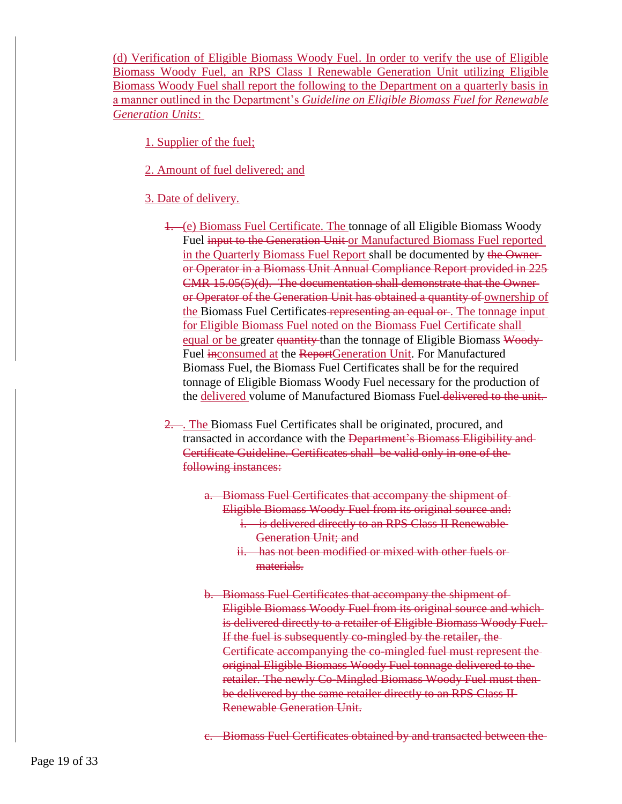(d) Verification of Eligible Biomass Woody Fuel. In order to verify the use of Eligible Biomass Woody Fuel, an RPS Class I Renewable Generation Unit utilizing Eligible Biomass Woody Fuel shall report the following to the Department on a quarterly basis in a manner outlined in the Department's *Guideline on Eligible Biomass Fuel for Renewable Generation Units*:

1. Supplier of the fuel;

- 2. Amount of fuel delivered; and
- 3. Date of delivery.
	- 1. (e) Biomass Fuel Certificate. The tonnage of all Eligible Biomass Woody Fuel input to the Generation Unit or Manufactured Biomass Fuel reported in the Quarterly Biomass Fuel Report shall be documented by the Owner or Operator in a Biomass Unit Annual Compliance Report provided in 225 CMR 15.05(5)(d). The documentation shall demonstrate that the Owner or Operator of the Generation Unit has obtained a quantity of ownership of the Biomass Fuel Certificates representing an equal or . The tonnage input for Eligible Biomass Fuel noted on the Biomass Fuel Certificate shall equal or be greater quantity than the tonnage of Eligible Biomass Woody Fuel inconsumed at the ReportGeneration Unit. For Manufactured Biomass Fuel, the Biomass Fuel Certificates shall be for the required tonnage of Eligible Biomass Woody Fuel necessary for the production of the delivered volume of Manufactured Biomass Fuel delivered to the unit.
	- 2. ... The Biomass Fuel Certificates shall be originated, procured, and transacted in accordance with the Department's Biomass Eligibility and Certificate Guideline. Certificates shall be valid only in one of the following instances:
		- a. Biomass Fuel Certificates that accompany the shipment of Eligible Biomass Woody Fuel from its original source and: i. is delivered directly to an RPS Class II Renewable
			- Generation Unit; and ii. has not been modified or mixed with other fuels or
			- materials.
		- b. Biomass Fuel Certificates that accompany the shipment of Eligible Biomass Woody Fuel from its original source and which is delivered directly to a retailer of Eligible Biomass Woody Fuel. If the fuel is subsequently co-mingled by the retailer, the Certificate accompanying the co-mingled fuel must represent the original Eligible Biomass Woody Fuel tonnage delivered to the retailer. The newly Co-Mingled Biomass Woody Fuel must then be delivered by the same retailer directly to an RPS Class II Renewable Generation Unit.
		- c. Biomass Fuel Certificates obtained by and transacted between the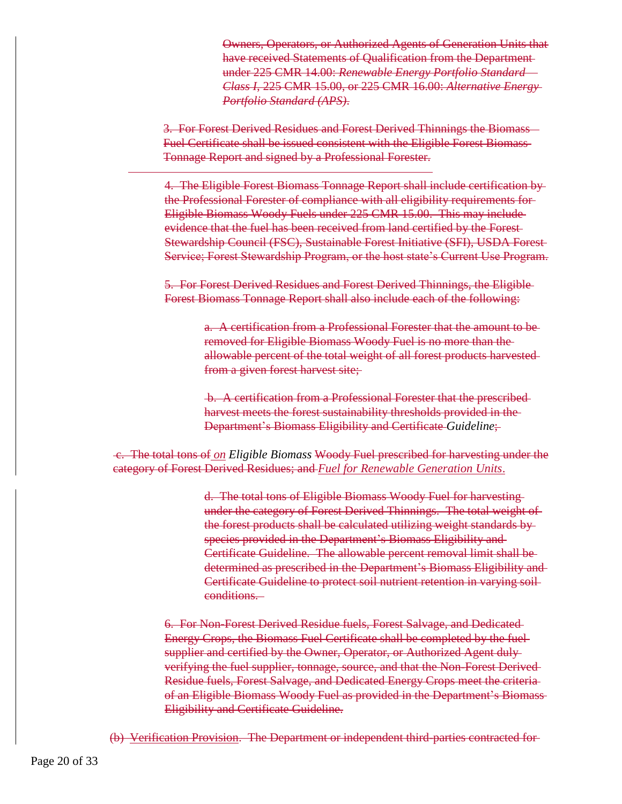Owners, Operators, or Authorized Agents of Generation Units that have received Statements of Qualification from the Department under 225 CMR 14.00: *Renewable Energy Portfolio Standard – Class I*, 225 CMR 15.00, or 225 CMR 16.00: *Alternative Energy Portfolio Standard (APS)*.

3. For Forest Derived Residues and Forest Derived Thinnings the Biomass Fuel Certificate shall be issued consistent with the Eligible Forest Biomass Tonnage Report and signed by a Professional Forester.

4. The Eligible Forest Biomass Tonnage Report shall include certification by the Professional Forester of compliance with all eligibility requirements for Eligible Biomass Woody Fuels under 225 CMR 15.00. This may include evidence that the fuel has been received from land certified by the Forest Stewardship Council (FSC), Sustainable Forest Initiative (SFI), USDA Forest Service; Forest Stewardship Program, or the host state's Current Use Program.

5. For Forest Derived Residues and Forest Derived Thinnings, the Eligible Forest Biomass Tonnage Report shall also include each of the following:

> a. A certification from a Professional Forester that the amount to be removed for Eligible Biomass Woody Fuel is no more than the allowable percent of the total weight of all forest products harvested from a given forest harvest site;

b. A certification from a Professional Forester that the prescribed harvest meets the forest sustainability thresholds provided in the Department's Biomass Eligibility and Certificate *Guideline*;

c. The total tons of *on Eligible Biomass* Woody Fuel prescribed for harvesting under the category of Forest Derived Residues; and *Fuel for Renewable Generation Units*.

> d. The total tons of Eligible Biomass Woody Fuel for harvesting under the category of Forest Derived Thinnings. The total weight of the forest products shall be calculated utilizing weight standards by species provided in the Department's Biomass Eligibility and Certificate Guideline. The allowable percent removal limit shall be determined as prescribed in the Department's Biomass Eligibility and Certificate Guideline to protect soil nutrient retention in varying soil conditions.

6. For Non-Forest Derived Residue fuels, Forest Salvage, and Dedicated Energy Crops, the Biomass Fuel Certificate shall be completed by the fuel supplier and certified by the Owner, Operator, or Authorized Agent dulyverifying the fuel supplier, tonnage, source, and that the Non-Forest Derived Residue fuels, Forest Salvage, and Dedicated Energy Crops meet the criteria of an Eligible Biomass Woody Fuel as provided in the Department's Biomass Eligibility and Certificate Guideline.

(b) Verification Provision. The Department or independent third-parties contracted for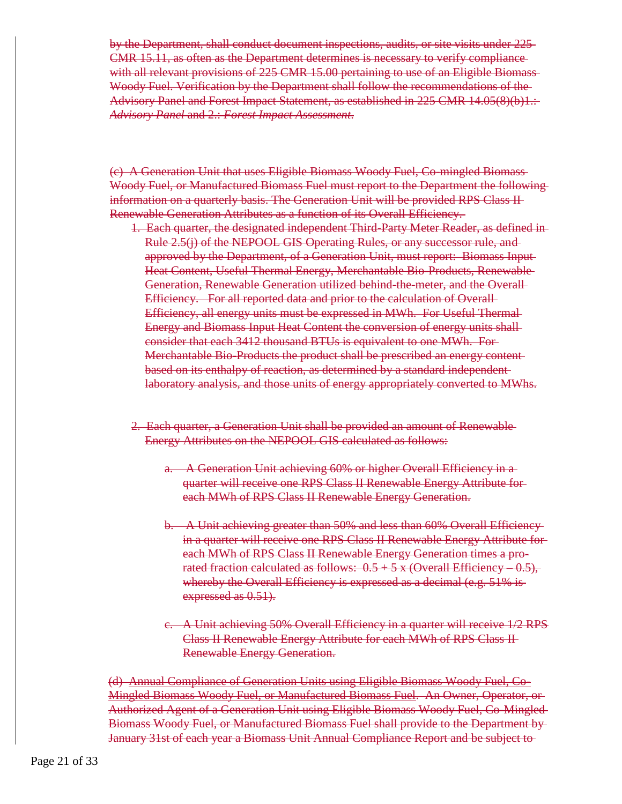by the Department, shall conduct document inspections, audits, or site visits under 225 CMR 15.11, as often as the Department determines is necessary to verify compliance with all relevant provisions of 225 CMR 15.00 pertaining to use of an Eligible Biomass-Woody Fuel. Verification by the Department shall follow the recommendations of the Advisory Panel and Forest Impact Statement, as established in 225 CMR 14.05(8)(b)1.: *Advisory Panel* and 2.: *Forest Impact Assessment*.

(c) A Generation Unit that uses Eligible Biomass Woody Fuel, Co-mingled Biomass Woody Fuel, or Manufactured Biomass Fuel must report to the Department the following information on a quarterly basis. The Generation Unit will be provided RPS Class II Renewable Generation Attributes as a function of its Overall Efficiency.

- 1. Each quarter, the designated independent Third-Party Meter Reader, as defined in Rule 2.5(j) of the NEPOOL GIS Operating Rules, or any successor rule, and approved by the Department, of a Generation Unit, must report: Biomass Input Heat Content, Useful Thermal Energy, Merchantable Bio-Products, Renewable Generation, Renewable Generation utilized behind-the-meter, and the Overall-Efficiency. For all reported data and prior to the calculation of Overall Efficiency, all energy units must be expressed in MWh. For Useful Thermal Energy and Biomass Input Heat Content the conversion of energy units shall consider that each 3412 thousand BTUs is equivalent to one MWh. For Merchantable Bio-Products the product shall be prescribed an energy content based on its enthalpy of reaction, as determined by a standard independent laboratory analysis, and those units of energy appropriately converted to MWhs.
- 2. Each quarter, a Generation Unit shall be provided an amount of Renewable Energy Attributes on the NEPOOL GIS calculated as follows:
	- a. A Generation Unit achieving 60% or higher Overall Efficiency in a quarter will receive one RPS Class II Renewable Energy Attribute for each MWh of RPS Class II Renewable Energy Generation.
	- b. A Unit achieving greater than 50% and less than 60% Overall Efficiency in a quarter will receive one RPS Class II Renewable Energy Attribute for each MWh of RPS Class II Renewable Energy Generation times a prorated fraction calculated as follows:  $0.5 + 5x$  (Overall Efficiency – 0.5), whereby the Overall Efficiency is expressed as a decimal (e.g. 51% is expressed as  $0.51$ .
	- c. A Unit achieving 50% Overall Efficiency in a quarter will receive 1/2 RPS Class II Renewable Energy Attribute for each MWh of RPS Class II Renewable Energy Generation.

(d) Annual Compliance of Generation Units using Eligible Biomass Woody Fuel, Co-Mingled Biomass Woody Fuel, or Manufactured Biomass Fuel. An Owner, Operator, or Authorized Agent of a Generation Unit using Eligible Biomass Woody Fuel, Co-Mingled Biomass Woody Fuel, or Manufactured Biomass Fuel shall provide to the Department by January 31st of each year a Biomass Unit Annual Compliance Report and be subject to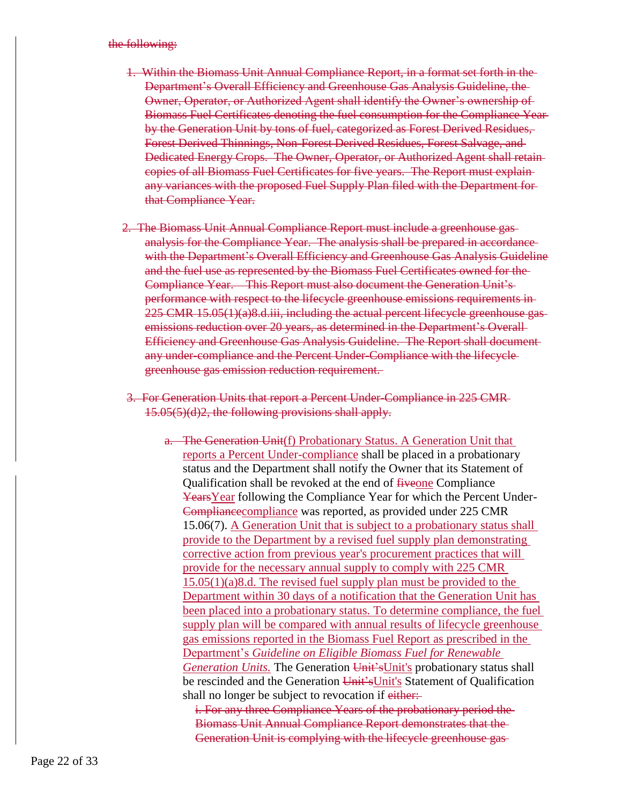#### the following:

- 1. Within the Biomass Unit Annual Compliance Report, in a format set forth in the Department's Overall Efficiency and Greenhouse Gas Analysis Guideline, the Owner, Operator, or Authorized Agent shall identify the Owner's ownership of Biomass Fuel Certificates denoting the fuel consumption for the Compliance Year by the Generation Unit by tons of fuel, categorized as Forest Derived Residues, Forest Derived Thinnings, Non-Forest Derived Residues, Forest Salvage, and Dedicated Energy Crops. The Owner, Operator, or Authorized Agent shall retain copies of all Biomass Fuel Certificates for five years. The Report must explain any variances with the proposed Fuel Supply Plan filed with the Department for that Compliance Year.
- 2. The Biomass Unit Annual Compliance Report must include a greenhouse gas analysis for the Compliance Year. The analysis shall be prepared in accordance with the Department's Overall Efficiency and Greenhouse Gas Analysis Guideline and the fuel use as represented by the Biomass Fuel Certificates owned for the Compliance Year. This Report must also document the Generation Unit's performance with respect to the lifecycle greenhouse emissions requirements in 225 CMR 15.05(1)(a)8.d.iii, including the actual percent lifecycle greenhouse gas emissions reduction over 20 years, as determined in the Department's Overall-Efficiency and Greenhouse Gas Analysis Guideline. The Report shall document any under-compliance and the Percent Under-Compliance with the lifecycle greenhouse gas emission reduction requirement.
- 3. For Generation Units that report a Percent Under-Compliance in 225 CMR 15.05(5)(d)2, the following provisions shall apply.
	- a. The Generation Unit(f) Probationary Status. A Generation Unit that reports a Percent Under-compliance shall be placed in a probationary status and the Department shall notify the Owner that its Statement of Qualification shall be revoked at the end of fiveone Compliance YearsYear following the Compliance Year for which the Percent Under-Compliance compliance was reported, as provided under 225 CMR 15.06(7). A Generation Unit that is subject to a probationary status shall provide to the Department by a revised fuel supply plan demonstrating corrective action from previous year's procurement practices that will provide for the necessary annual supply to comply with 225 CMR 15.05(1)(a)8.d. The revised fuel supply plan must be provided to the Department within 30 days of a notification that the Generation Unit has been placed into a probationary status. To determine compliance, the fuel supply plan will be compared with annual results of lifecycle greenhouse gas emissions reported in the Biomass Fuel Report as prescribed in the Department's *Guideline on Eligible Biomass Fuel for Renewable Generation Units.* The Generation Unit'sUnit's probationary status shall be rescinded and the Generation Unit'sUnit's Statement of Qualification shall no longer be subject to revocation if either.

i. For any three Compliance Years of the probationary period the Biomass Unit Annual Compliance Report demonstrates that the Generation Unit is complying with the lifecycle greenhouse gas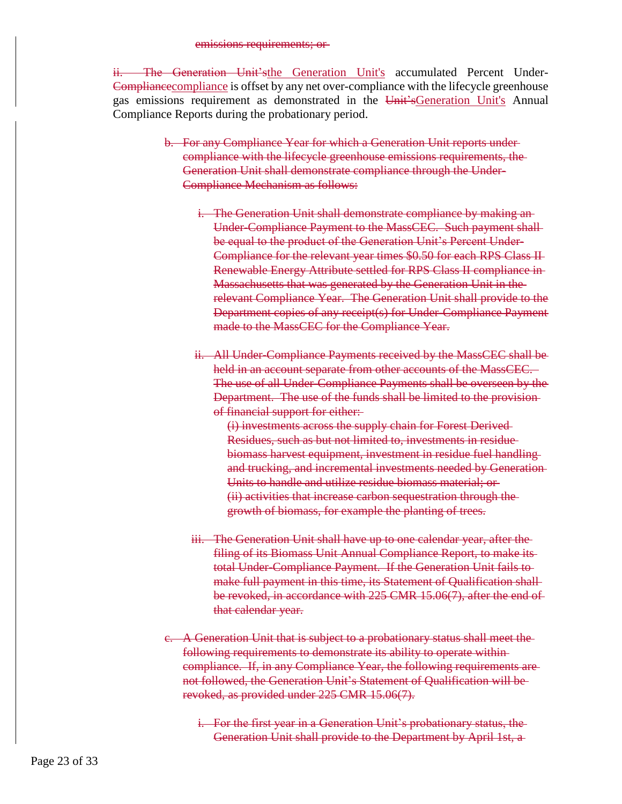#### emissions requirements; or

ii. The Generation Unit'sthe Generation Unit's accumulated Percent Under-Compliancecompliance is offset by any net over-compliance with the lifecycle greenhouse gas emissions requirement as demonstrated in the Unit'sGeneration Unit's Annual Compliance Reports during the probationary period.

- b. For any Compliance Year for which a Generation Unit reports under compliance with the lifecycle greenhouse emissions requirements, the Generation Unit shall demonstrate compliance through the Under-Compliance Mechanism as follows:
	- i. The Generation Unit shall demonstrate compliance by making an Under-Compliance Payment to the MassCEC. Such payment shall be equal to the product of the Generation Unit's Percent Under-Compliance for the relevant year times \$0.50 for each RPS Class II Renewable Energy Attribute settled for RPS Class II compliance in Massachusetts that was generated by the Generation Unit in the relevant Compliance Year. The Generation Unit shall provide to the Department copies of any receipt(s) for Under-Compliance Payment made to the MassCEC for the Compliance Year.
	- ii. All Under-Compliance Payments received by the MassCEC shall be held in an account separate from other accounts of the MassCEC. The use of all Under-Compliance Payments shall be overseen by the Department. The use of the funds shall be limited to the provision of financial support for either:
		- (i) investments across the supply chain for Forest Derived Residues, such as but not limited to, investments in residue biomass harvest equipment, investment in residue fuel handling and trucking, and incremental investments needed by Generation Units to handle and utilize residue biomass material; or (ii) activities that increase carbon sequestration through the growth of biomass, for example the planting of trees.
	- iii. The Generation Unit shall have up to one calendar year, after the filing of its Biomass Unit Annual Compliance Report, to make its total Under-Compliance Payment. If the Generation Unit fails to make full payment in this time, its Statement of Qualification shall be revoked, in accordance with 225 CMR 15.06(7), after the end of that calendar year.
- c. A Generation Unit that is subject to a probationary status shall meet the following requirements to demonstrate its ability to operate within compliance. If, in any Compliance Year, the following requirements are not followed, the Generation Unit's Statement of Qualification will be revoked, as provided under 225 CMR 15.06(7).
	- i. For the first year in a Generation Unit's probationary status, the Generation Unit shall provide to the Department by April 1st, a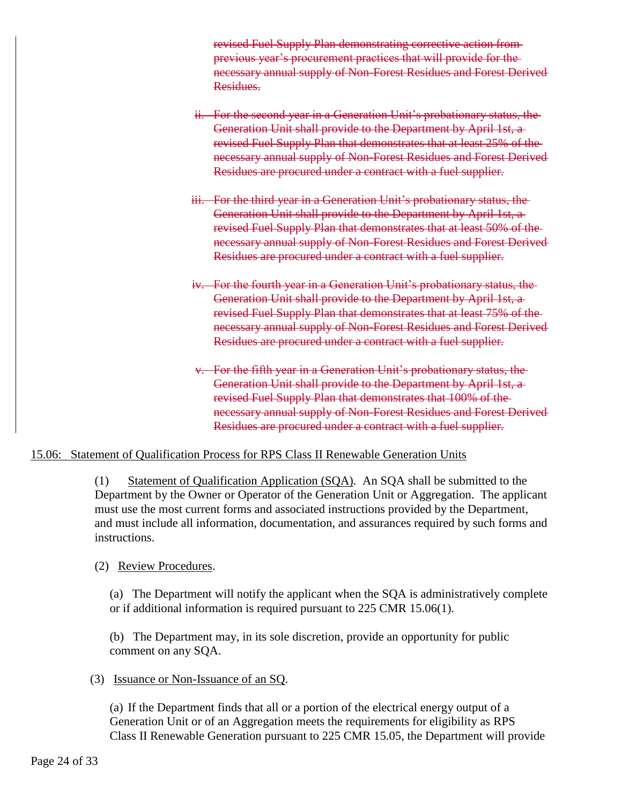revised Fuel Supply Plan demonstrating corrective action from previous year's procurement practices that will provide for the necessary annual supply of Non-Forest Residues and Forest Derived Residues.

- ii. For the second year in a Generation Unit's probationary status, the Generation Unit shall provide to the Department by April 1st, a revised Fuel Supply Plan that demonstrates that at least 25% of the necessary annual supply of Non-Forest Residues and Forest Derived Residues are procured under a contract with a fuel supplier.
- iii. For the third year in a Generation Unit's probationary status, the Generation Unit shall provide to the Department by April 1st, a revised Fuel Supply Plan that demonstrates that at least 50% of the necessary annual supply of Non-Forest Residues and Forest Derived Residues are procured under a contract with a fuel supplier.
- iv. For the fourth year in a Generation Unit's probationary status, the Generation Unit shall provide to the Department by April 1st, a revised Fuel Supply Plan that demonstrates that at least 75% of the necessary annual supply of Non-Forest Residues and Forest Derived Residues are procured under a contract with a fuel supplier.
- v. For the fifth year in a Generation Unit's probationary status, the Generation Unit shall provide to the Department by April 1st, a revised Fuel Supply Plan that demonstrates that 100% of the necessary annual supply of Non-Forest Residues and Forest Derived Residues are procured under a contract with a fuel supplier.

# 15.06: Statement of Qualification Process for RPS Class II Renewable Generation Units

(1) Statement of Qualification Application (SQA). An SQA shall be submitted to the Department by the Owner or Operator of the Generation Unit or Aggregation. The applicant must use the most current forms and associated instructions provided by the Department, and must include all information, documentation, and assurances required by such forms and instructions.

#### (2) Review Procedures.

(a) The Department will notify the applicant when the SQA is administratively complete or if additional information is required pursuant to 225 CMR 15.06(1).

(b) The Department may, in its sole discretion, provide an opportunity for public comment on any SQA.

#### (3) Issuance or Non-Issuance of an SQ.

(a) If the Department finds that all or a portion of the electrical energy output of a Generation Unit or of an Aggregation meets the requirements for eligibility as RPS Class II Renewable Generation pursuant to 225 CMR 15.05, the Department will provide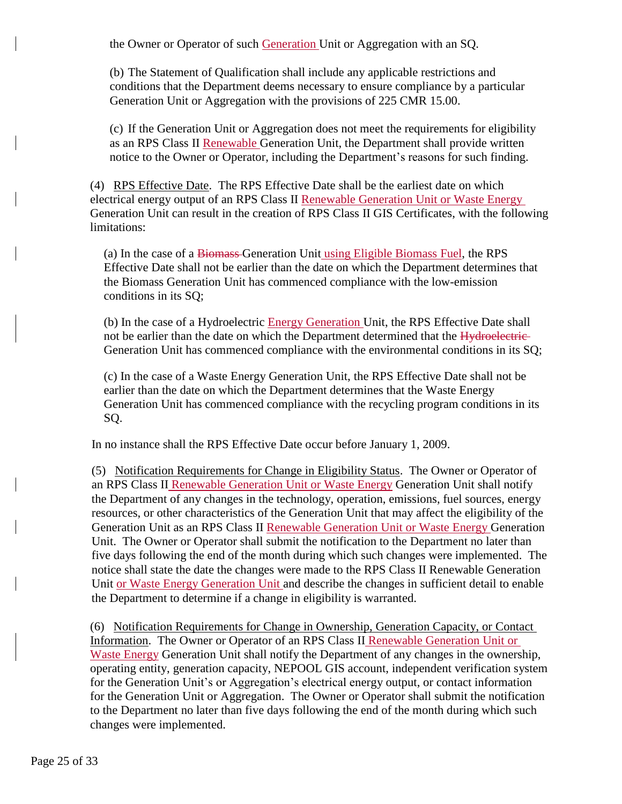the Owner or Operator of such Generation Unit or Aggregation with an SQ.

(b) The Statement of Qualification shall include any applicable restrictions and conditions that the Department deems necessary to ensure compliance by a particular Generation Unit or Aggregation with the provisions of 225 CMR 15.00.

(c) If the Generation Unit or Aggregation does not meet the requirements for eligibility as an RPS Class II Renewable Generation Unit, the Department shall provide written notice to the Owner or Operator, including the Department's reasons for such finding.

(4) RPS Effective Date. The RPS Effective Date shall be the earliest date on which electrical energy output of an RPS Class II Renewable Generation Unit or Waste Energy Generation Unit can result in the creation of RPS Class II GIS Certificates, with the following limitations:

(a) In the case of a Biomass Generation Unit using Eligible Biomass Fuel, the RPS Effective Date shall not be earlier than the date on which the Department determines that the Biomass Generation Unit has commenced compliance with the low-emission conditions in its SQ;

(b) In the case of a Hydroelectric Energy Generation Unit, the RPS Effective Date shall not be earlier than the date on which the Department determined that the Hydroelectric-Generation Unit has commenced compliance with the environmental conditions in its SQ;

(c) In the case of a Waste Energy Generation Unit, the RPS Effective Date shall not be earlier than the date on which the Department determines that the Waste Energy Generation Unit has commenced compliance with the recycling program conditions in its SQ.

In no instance shall the RPS Effective Date occur before January 1, 2009.

(5) Notification Requirements for Change in Eligibility Status. The Owner or Operator of an RPS Class II Renewable Generation Unit or Waste Energy Generation Unit shall notify the Department of any changes in the technology, operation, emissions, fuel sources, energy resources, or other characteristics of the Generation Unit that may affect the eligibility of the Generation Unit as an RPS Class II Renewable Generation Unit or Waste Energy Generation Unit. The Owner or Operator shall submit the notification to the Department no later than five days following the end of the month during which such changes were implemented. The notice shall state the date the changes were made to the RPS Class II Renewable Generation Unit or Waste Energy Generation Unit and describe the changes in sufficient detail to enable the Department to determine if a change in eligibility is warranted.

(6) Notification Requirements for Change in Ownership, Generation Capacity, or Contact Information. The Owner or Operator of an RPS Class II Renewable Generation Unit or Waste Energy Generation Unit shall notify the Department of any changes in the ownership, operating entity, generation capacity, NEPOOL GIS account, independent verification system for the Generation Unit's or Aggregation's electrical energy output, or contact information for the Generation Unit or Aggregation. The Owner or Operator shall submit the notification to the Department no later than five days following the end of the month during which such changes were implemented.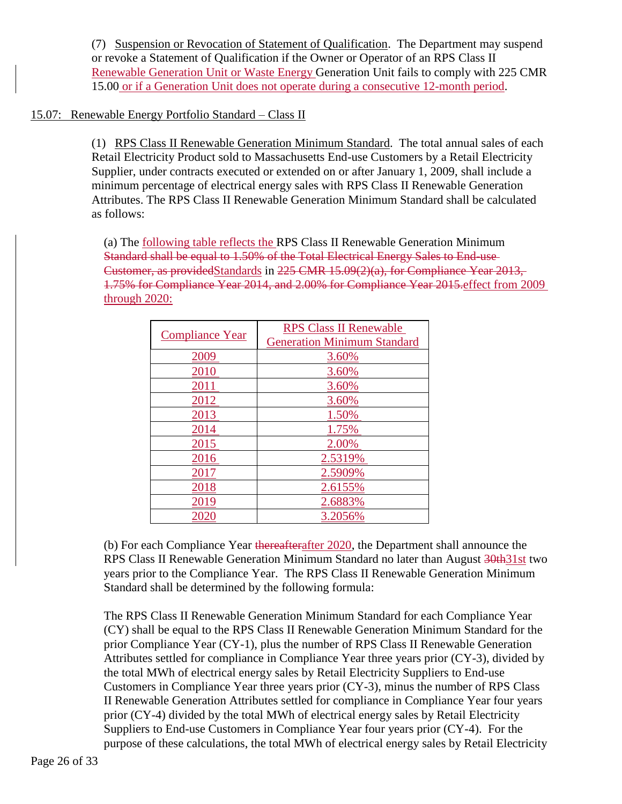(7) Suspension or Revocation of Statement of Qualification. The Department may suspend or revoke a Statement of Qualification if the Owner or Operator of an RPS Class II Renewable Generation Unit or Waste Energy Generation Unit fails to comply with 225 CMR 15.00 or if a Generation Unit does not operate during a consecutive 12-month period.

# 15.07: Renewable Energy Portfolio Standard – Class II

(1) RPS Class II Renewable Generation Minimum Standard. The total annual sales of each Retail Electricity Product sold to Massachusetts End-use Customers by a Retail Electricity Supplier, under contracts executed or extended on or after January 1, 2009, shall include a minimum percentage of electrical energy sales with RPS Class II Renewable Generation Attributes. The RPS Class II Renewable Generation Minimum Standard shall be calculated as follows:

(a) The following table reflects the RPS Class II Renewable Generation Minimum Standard shall be equal to 1.50% of the Total Electrical Energy Sales to End-use Customer, as providedStandards in 225 CMR 15.09(2)(a), for Compliance Year 2013, 1.75% for Compliance Year 2014, and 2.00% for Compliance Year 2015.effect from 2009 through 2020:

| <b>Compliance Year</b> | <b>RPS Class II Renewable</b>      |
|------------------------|------------------------------------|
|                        | <b>Generation Minimum Standard</b> |
| 2009                   | 3.60%                              |
| 2010                   | 3.60%                              |
| 2011                   | 3.60%                              |
| 2012                   | 3.60%                              |
| 2013                   | 1.50%                              |
| 2014                   | 1.75%                              |
| 2015                   | 2.00%                              |
| 2016                   | 2.5319%                            |
| 2017                   | 2.5909%                            |
| 2018                   | 2.6155%                            |
| 2019                   | 2.6883%                            |
|                        | 3.2056%                            |

(b) For each Compliance Year thereafterafter 2020, the Department shall announce the RPS Class II Renewable Generation Minimum Standard no later than August 30th31st two years prior to the Compliance Year. The RPS Class II Renewable Generation Minimum Standard shall be determined by the following formula:

The RPS Class II Renewable Generation Minimum Standard for each Compliance Year (CY) shall be equal to the RPS Class II Renewable Generation Minimum Standard for the prior Compliance Year (CY-1), plus the number of RPS Class II Renewable Generation Attributes settled for compliance in Compliance Year three years prior (CY-3), divided by the total MWh of electrical energy sales by Retail Electricity Suppliers to End-use Customers in Compliance Year three years prior (CY-3), minus the number of RPS Class II Renewable Generation Attributes settled for compliance in Compliance Year four years prior (CY-4) divided by the total MWh of electrical energy sales by Retail Electricity Suppliers to End-use Customers in Compliance Year four years prior (CY-4). For the purpose of these calculations, the total MWh of electrical energy sales by Retail Electricity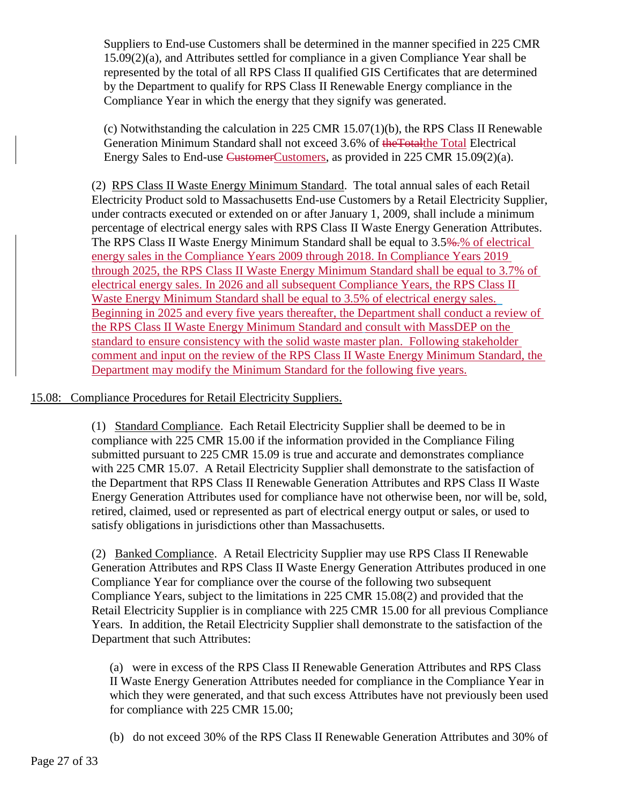Suppliers to End-use Customers shall be determined in the manner specified in 225 CMR 15.09(2)(a), and Attributes settled for compliance in a given Compliance Year shall be represented by the total of all RPS Class II qualified GIS Certificates that are determined by the Department to qualify for RPS Class II Renewable Energy compliance in the Compliance Year in which the energy that they signify was generated.

(c) Notwithstanding the calculation in 225 CMR 15.07(1)(b), the RPS Class II Renewable Generation Minimum Standard shall not exceed 3.6% of the Total Helectrical Electrical Energy Sales to End-use CustomerCustomers, as provided in 225 CMR 15.09(2)(a).

(2) RPS Class II Waste Energy Minimum Standard. The total annual sales of each Retail Electricity Product sold to Massachusetts End-use Customers by a Retail Electricity Supplier, under contracts executed or extended on or after January 1, 2009, shall include a minimum percentage of electrical energy sales with RPS Class II Waste Energy Generation Attributes. The RPS Class II Waste Energy Minimum Standard shall be equal to 3.5%. So of electrical energy sales in the Compliance Years 2009 through 2018. In Compliance Years 2019 through 2025, the RPS Class II Waste Energy Minimum Standard shall be equal to 3.7% of electrical energy sales. In 2026 and all subsequent Compliance Years, the RPS Class II Waste Energy Minimum Standard shall be equal to 3.5% of electrical energy sales. Beginning in 2025 and every five years thereafter, the Department shall conduct a review of the RPS Class II Waste Energy Minimum Standard and consult with MassDEP on the standard to ensure consistency with the solid waste master plan. Following stakeholder comment and input on the review of the RPS Class II Waste Energy Minimum Standard, the Department may modify the Minimum Standard for the following five years.

#### 15.08: Compliance Procedures for Retail Electricity Suppliers.

(1) Standard Compliance. Each Retail Electricity Supplier shall be deemed to be in compliance with 225 CMR 15.00 if the information provided in the Compliance Filing submitted pursuant to 225 CMR 15.09 is true and accurate and demonstrates compliance with 225 CMR 15.07. A Retail Electricity Supplier shall demonstrate to the satisfaction of the Department that RPS Class II Renewable Generation Attributes and RPS Class II Waste Energy Generation Attributes used for compliance have not otherwise been, nor will be, sold, retired, claimed, used or represented as part of electrical energy output or sales, or used to satisfy obligations in jurisdictions other than Massachusetts.

(2) Banked Compliance. A Retail Electricity Supplier may use RPS Class II Renewable Generation Attributes and RPS Class II Waste Energy Generation Attributes produced in one Compliance Year for compliance over the course of the following two subsequent Compliance Years, subject to the limitations in 225 CMR 15.08(2) and provided that the Retail Electricity Supplier is in compliance with 225 CMR 15.00 for all previous Compliance Years. In addition, the Retail Electricity Supplier shall demonstrate to the satisfaction of the Department that such Attributes:

(a) were in excess of the RPS Class II Renewable Generation Attributes and RPS Class II Waste Energy Generation Attributes needed for compliance in the Compliance Year in which they were generated, and that such excess Attributes have not previously been used for compliance with 225 CMR 15.00;

(b) do not exceed 30% of the RPS Class II Renewable Generation Attributes and 30% of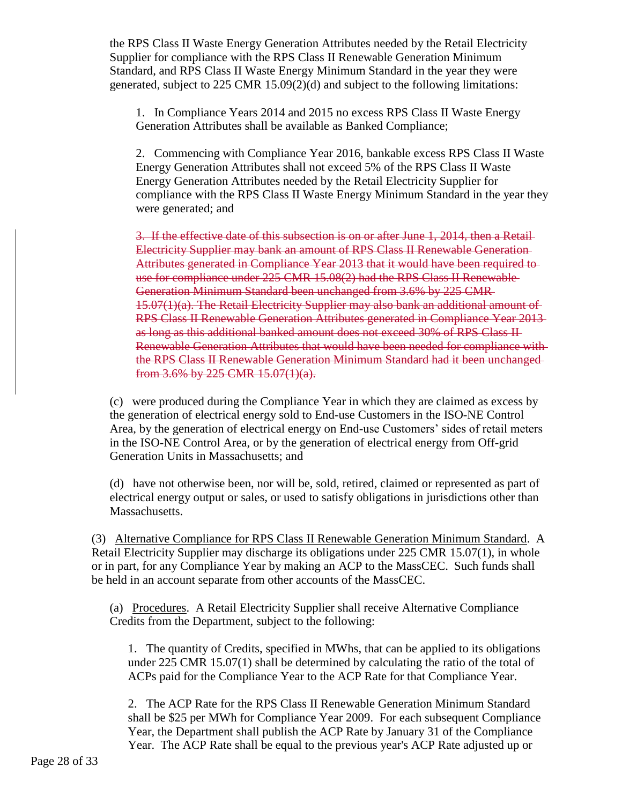the RPS Class II Waste Energy Generation Attributes needed by the Retail Electricity Supplier for compliance with the RPS Class II Renewable Generation Minimum Standard, and RPS Class II Waste Energy Minimum Standard in the year they were generated, subject to 225 CMR 15.09(2)(d) and subject to the following limitations:

1. In Compliance Years 2014 and 2015 no excess RPS Class II Waste Energy Generation Attributes shall be available as Banked Compliance;

2. Commencing with Compliance Year 2016, bankable excess RPS Class II Waste Energy Generation Attributes shall not exceed 5% of the RPS Class II Waste Energy Generation Attributes needed by the Retail Electricity Supplier for compliance with the RPS Class II Waste Energy Minimum Standard in the year they were generated; and

3. If the effective date of this subsection is on or after June 1, 2014, then a Retail Electricity Supplier may bank an amount of RPS Class II Renewable Generation Attributes generated in Compliance Year 2013 that it would have been required to use for compliance under 225 CMR 15.08(2) had the RPS Class II Renewable Generation Minimum Standard been unchanged from 3.6% by 225 CMR 15.07(1)(a). The Retail Electricity Supplier may also bank an additional amount of RPS Class II Renewable Generation Attributes generated in Compliance Year 2013 as long as this additional banked amount does not exceed 30% of RPS Class II Renewable Generation Attributes that would have been needed for compliance with the RPS Class II Renewable Generation Minimum Standard had it been unchanged from 3.6% by 225 CMR 15.07(1)(a).

(c) were produced during the Compliance Year in which they are claimed as excess by the generation of electrical energy sold to End-use Customers in the ISO-NE Control Area, by the generation of electrical energy on End-use Customers' sides of retail meters in the ISO-NE Control Area, or by the generation of electrical energy from Off-grid Generation Units in Massachusetts; and

(d) have not otherwise been, nor will be, sold, retired, claimed or represented as part of electrical energy output or sales, or used to satisfy obligations in jurisdictions other than Massachusetts.

(3) Alternative Compliance for RPS Class II Renewable Generation Minimum Standard. A Retail Electricity Supplier may discharge its obligations under 225 CMR 15.07(1), in whole or in part, for any Compliance Year by making an ACP to the MassCEC. Such funds shall be held in an account separate from other accounts of the MassCEC.

(a) Procedures. A Retail Electricity Supplier shall receive Alternative Compliance Credits from the Department, subject to the following:

1. The quantity of Credits, specified in MWhs, that can be applied to its obligations under 225 CMR 15.07(1) shall be determined by calculating the ratio of the total of ACPs paid for the Compliance Year to the ACP Rate for that Compliance Year.

2. The ACP Rate for the RPS Class II Renewable Generation Minimum Standard shall be \$25 per MWh for Compliance Year 2009. For each subsequent Compliance Year, the Department shall publish the ACP Rate by January 31 of the Compliance Year. The ACP Rate shall be equal to the previous year's ACP Rate adjusted up or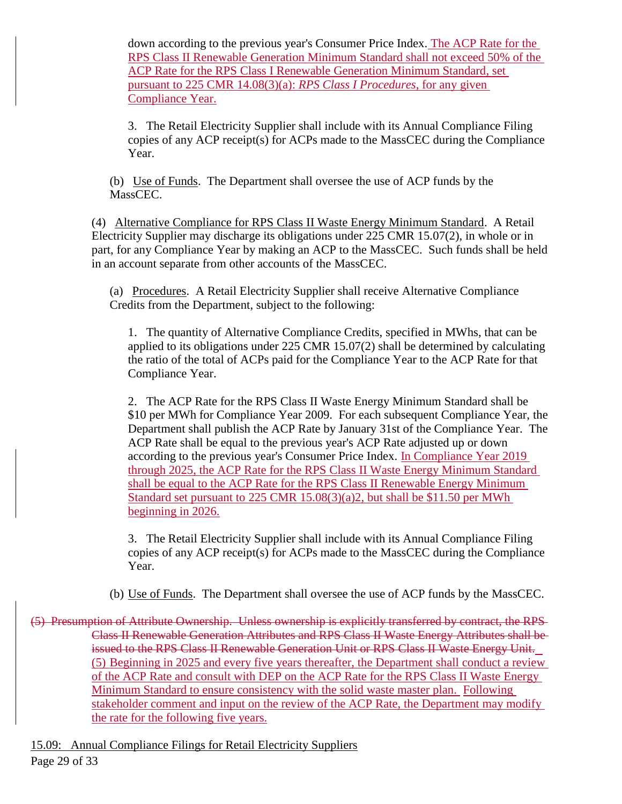down according to the previous year's Consumer Price Index. The ACP Rate for the RPS Class II Renewable Generation Minimum Standard shall not exceed 50% of the ACP Rate for the RPS Class I Renewable Generation Minimum Standard, set pursuant to 225 CMR 14.08(3)(a): *RPS Class I Procedures*, for any given Compliance Year.

3. The Retail Electricity Supplier shall include with its Annual Compliance Filing copies of any ACP receipt(s) for ACPs made to the MassCEC during the Compliance Year.

(b) Use of Funds. The Department shall oversee the use of ACP funds by the MassCEC.

(4) Alternative Compliance for RPS Class II Waste Energy Minimum Standard. A Retail Electricity Supplier may discharge its obligations under 225 CMR 15.07(2), in whole or in part, for any Compliance Year by making an ACP to the MassCEC. Such funds shall be held in an account separate from other accounts of the MassCEC.

(a) Procedures. A Retail Electricity Supplier shall receive Alternative Compliance Credits from the Department, subject to the following:

1. The quantity of Alternative Compliance Credits, specified in MWhs, that can be applied to its obligations under 225 CMR 15.07(2) shall be determined by calculating the ratio of the total of ACPs paid for the Compliance Year to the ACP Rate for that Compliance Year.

2. The ACP Rate for the RPS Class II Waste Energy Minimum Standard shall be \$10 per MWh for Compliance Year 2009. For each subsequent Compliance Year, the Department shall publish the ACP Rate by January 31st of the Compliance Year. The ACP Rate shall be equal to the previous year's ACP Rate adjusted up or down according to the previous year's Consumer Price Index. In Compliance Year 2019 through 2025, the ACP Rate for the RPS Class II Waste Energy Minimum Standard shall be equal to the ACP Rate for the RPS Class II Renewable Energy Minimum Standard set pursuant to 225 CMR 15.08(3)(a)2, but shall be \$11.50 per MWh beginning in 2026.

3. The Retail Electricity Supplier shall include with its Annual Compliance Filing copies of any ACP receipt(s) for ACPs made to the MassCEC during the Compliance Year.

(b) Use of Funds. The Department shall oversee the use of ACP funds by the MassCEC.

(5) Presumption of Attribute Ownership. Unless ownership is explicitly transferred by contract, the RPS Class II Renewable Generation Attributes and RPS Class II Waste Energy Attributes shall be issued to the RPS Class II Renewable Generation Unit or RPS Class II Waste Energy Unit. (5) Beginning in 2025 and every five years thereafter, the Department shall conduct a review of the ACP Rate and consult with DEP on the ACP Rate for the RPS Class II Waste Energy Minimum Standard to ensure consistency with the solid waste master plan. Following stakeholder comment and input on the review of the ACP Rate, the Department may modify the rate for the following five years.

15.09: Annual Compliance Filings for Retail Electricity Suppliers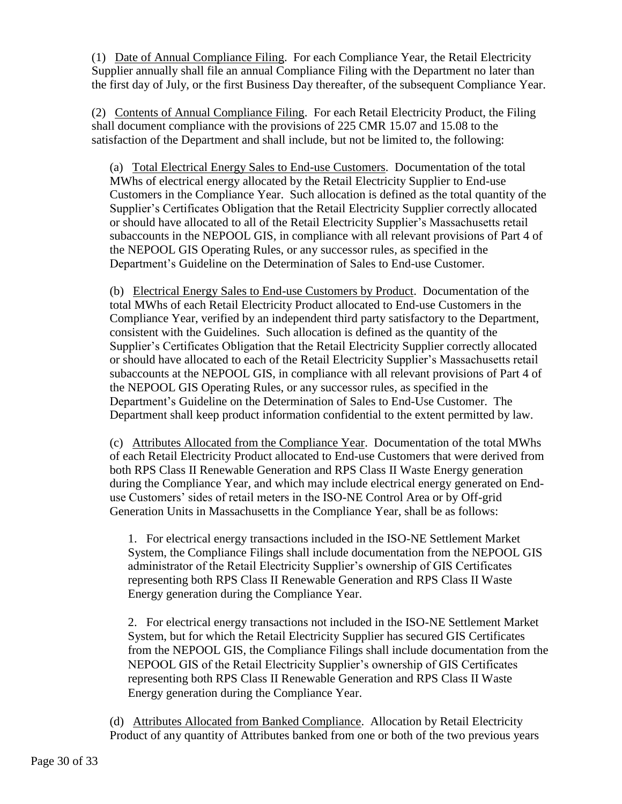(1) Date of Annual Compliance Filing. For each Compliance Year, the Retail Electricity Supplier annually shall file an annual Compliance Filing with the Department no later than the first day of July, or the first Business Day thereafter, of the subsequent Compliance Year.

(2) Contents of Annual Compliance Filing. For each Retail Electricity Product, the Filing shall document compliance with the provisions of 225 CMR 15.07 and 15.08 to the satisfaction of the Department and shall include, but not be limited to, the following:

(a) Total Electrical Energy Sales to End-use Customers. Documentation of the total MWhs of electrical energy allocated by the Retail Electricity Supplier to End-use Customers in the Compliance Year. Such allocation is defined as the total quantity of the Supplier's Certificates Obligation that the Retail Electricity Supplier correctly allocated or should have allocated to all of the Retail Electricity Supplier's Massachusetts retail subaccounts in the NEPOOL GIS, in compliance with all relevant provisions of Part 4 of the NEPOOL GIS Operating Rules, or any successor rules, as specified in the Department's Guideline on the Determination of Sales to End-use Customer.

(b) Electrical Energy Sales to End-use Customers by Product. Documentation of the total MWhs of each Retail Electricity Product allocated to End-use Customers in the Compliance Year, verified by an independent third party satisfactory to the Department, consistent with the Guidelines. Such allocation is defined as the quantity of the Supplier's Certificates Obligation that the Retail Electricity Supplier correctly allocated or should have allocated to each of the Retail Electricity Supplier's Massachusetts retail subaccounts at the NEPOOL GIS, in compliance with all relevant provisions of Part 4 of the NEPOOL GIS Operating Rules, or any successor rules, as specified in the Department's Guideline on the Determination of Sales to End-Use Customer. The Department shall keep product information confidential to the extent permitted by law.

(c) Attributes Allocated from the Compliance Year. Documentation of the total MWhs of each Retail Electricity Product allocated to End-use Customers that were derived from both RPS Class II Renewable Generation and RPS Class II Waste Energy generation during the Compliance Year, and which may include electrical energy generated on Enduse Customers' sides of retail meters in the ISO-NE Control Area or by Off-grid Generation Units in Massachusetts in the Compliance Year, shall be as follows:

1. For electrical energy transactions included in the ISO-NE Settlement Market System, the Compliance Filings shall include documentation from the NEPOOL GIS administrator of the Retail Electricity Supplier's ownership of GIS Certificates representing both RPS Class II Renewable Generation and RPS Class II Waste Energy generation during the Compliance Year.

2. For electrical energy transactions not included in the ISO-NE Settlement Market System, but for which the Retail Electricity Supplier has secured GIS Certificates from the NEPOOL GIS, the Compliance Filings shall include documentation from the NEPOOL GIS of the Retail Electricity Supplier's ownership of GIS Certificates representing both RPS Class II Renewable Generation and RPS Class II Waste Energy generation during the Compliance Year.

(d) Attributes Allocated from Banked Compliance. Allocation by Retail Electricity Product of any quantity of Attributes banked from one or both of the two previous years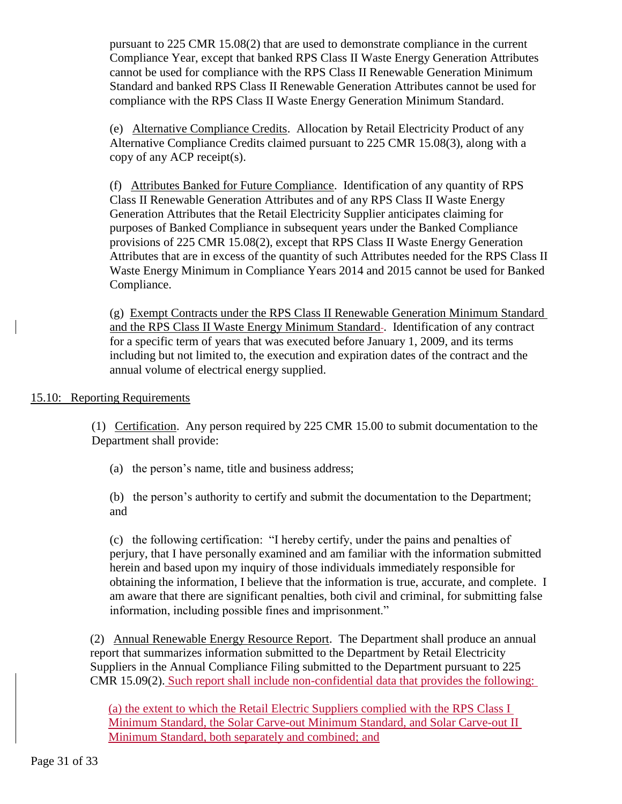pursuant to 225 CMR 15.08(2) that are used to demonstrate compliance in the current Compliance Year, except that banked RPS Class II Waste Energy Generation Attributes cannot be used for compliance with the RPS Class II Renewable Generation Minimum Standard and banked RPS Class II Renewable Generation Attributes cannot be used for compliance with the RPS Class II Waste Energy Generation Minimum Standard.

(e) Alternative Compliance Credits. Allocation by Retail Electricity Product of any Alternative Compliance Credits claimed pursuant to 225 CMR 15.08(3), along with a copy of any ACP receipt(s).

(f) Attributes Banked for Future Compliance. Identification of any quantity of RPS Class II Renewable Generation Attributes and of any RPS Class II Waste Energy Generation Attributes that the Retail Electricity Supplier anticipates claiming for purposes of Banked Compliance in subsequent years under the Banked Compliance provisions of 225 CMR 15.08(2), except that RPS Class II Waste Energy Generation Attributes that are in excess of the quantity of such Attributes needed for the RPS Class II Waste Energy Minimum in Compliance Years 2014 and 2015 cannot be used for Banked Compliance.

(g) Exempt Contracts under the RPS Class II Renewable Generation Minimum Standard and the RPS Class II Waste Energy Minimum Standard-. Identification of any contract for a specific term of years that was executed before January 1, 2009, and its terms including but not limited to, the execution and expiration dates of the contract and the annual volume of electrical energy supplied.

# 15.10: Reporting Requirements

(1) Certification. Any person required by 225 CMR 15.00 to submit documentation to the Department shall provide:

(a) the person's name, title and business address;

(b) the person's authority to certify and submit the documentation to the Department; and

(c) the following certification: "I hereby certify, under the pains and penalties of perjury, that I have personally examined and am familiar with the information submitted herein and based upon my inquiry of those individuals immediately responsible for obtaining the information, I believe that the information is true, accurate, and complete. I am aware that there are significant penalties, both civil and criminal, for submitting false information, including possible fines and imprisonment."

(2) Annual Renewable Energy Resource Report. The Department shall produce an annual report that summarizes information submitted to the Department by Retail Electricity Suppliers in the Annual Compliance Filing submitted to the Department pursuant to 225 CMR 15.09(2). Such report shall include non-confidential data that provides the following:

(a) the extent to which the Retail Electric Suppliers complied with the RPS Class I Minimum Standard, the Solar Carve-out Minimum Standard, and Solar Carve-out II Minimum Standard, both separately and combined; and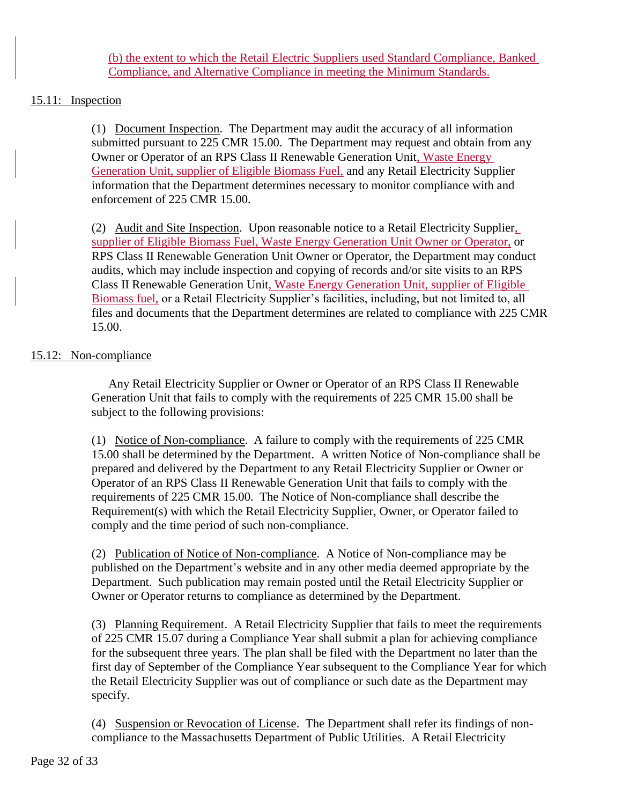(b) the extent to which the Retail Electric Suppliers used Standard Compliance, Banked Compliance, and Alternative Compliance in meeting the Minimum Standards.

# 15.11: Inspection

(1) Document Inspection. The Department may audit the accuracy of all information submitted pursuant to 225 CMR 15.00. The Department may request and obtain from any Owner or Operator of an RPS Class II Renewable Generation Unit, Waste Energy Generation Unit, supplier of Eligible Biomass Fuel, and any Retail Electricity Supplier information that the Department determines necessary to monitor compliance with and enforcement of 225 CMR 15.00.

(2) Audit and Site Inspection. Upon reasonable notice to a Retail Electricity Supplier, supplier of Eligible Biomass Fuel, Waste Energy Generation Unit Owner or Operator, or RPS Class II Renewable Generation Unit Owner or Operator, the Department may conduct audits, which may include inspection and copying of records and/or site visits to an RPS Class II Renewable Generation Unit, Waste Energy Generation Unit, supplier of Eligible Biomass fuel, or a Retail Electricity Supplier's facilities, including, but not limited to, all files and documents that the Department determines are related to compliance with 225 CMR 15.00.

# 15.12: Non-compliance

Any Retail Electricity Supplier or Owner or Operator of an RPS Class II Renewable Generation Unit that fails to comply with the requirements of 225 CMR 15.00 shall be subject to the following provisions:

(1) Notice of Non-compliance. A failure to comply with the requirements of 225 CMR 15.00 shall be determined by the Department. A written Notice of Non-compliance shall be prepared and delivered by the Department to any Retail Electricity Supplier or Owner or Operator of an RPS Class II Renewable Generation Unit that fails to comply with the requirements of 225 CMR 15.00. The Notice of Non-compliance shall describe the Requirement(s) with which the Retail Electricity Supplier, Owner, or Operator failed to comply and the time period of such non-compliance.

(2) Publication of Notice of Non-compliance. A Notice of Non-compliance may be published on the Department's website and in any other media deemed appropriate by the Department. Such publication may remain posted until the Retail Electricity Supplier or Owner or Operator returns to compliance as determined by the Department.

(3) Planning Requirement. A Retail Electricity Supplier that fails to meet the requirements of 225 CMR 15.07 during a Compliance Year shall submit a plan for achieving compliance for the subsequent three years. The plan shall be filed with the Department no later than the first day of September of the Compliance Year subsequent to the Compliance Year for which the Retail Electricity Supplier was out of compliance or such date as the Department may specify.

(4) Suspension or Revocation of License. The Department shall refer its findings of noncompliance to the Massachusetts Department of Public Utilities. A Retail Electricity